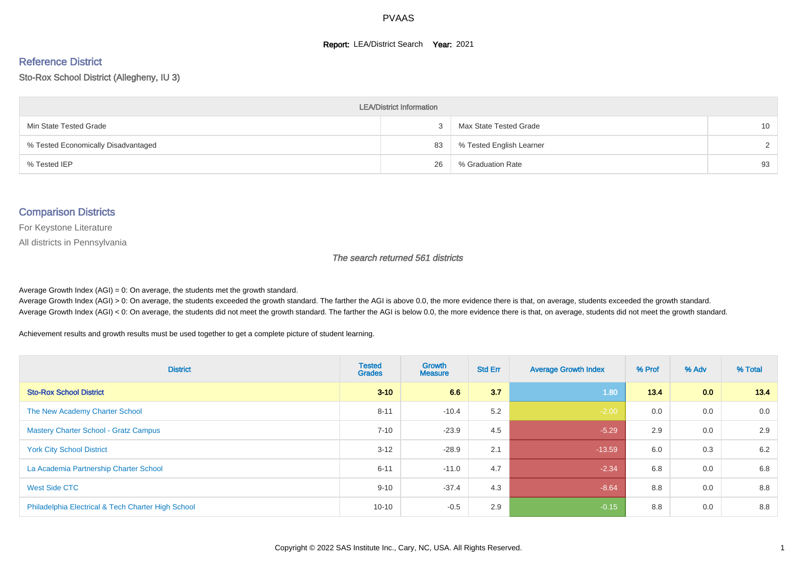#### **Report: LEA/District Search Year: 2021**

#### Reference District

Sto-Rox School District (Allegheny, IU 3)

| <b>LEA/District Information</b>     |    |                          |                 |  |  |  |  |  |  |  |
|-------------------------------------|----|--------------------------|-----------------|--|--|--|--|--|--|--|
| Min State Tested Grade              |    | Max State Tested Grade   | 10 <sup>1</sup> |  |  |  |  |  |  |  |
| % Tested Economically Disadvantaged | 83 | % Tested English Learner | $\mathcal{D}$   |  |  |  |  |  |  |  |
| % Tested IEP                        | 26 | % Graduation Rate        | 93              |  |  |  |  |  |  |  |

#### Comparison Districts

For Keystone Literature

All districts in Pennsylvania

The search returned 561 districts

Average Growth Index  $(AGI) = 0$ : On average, the students met the growth standard.

Average Growth Index (AGI) > 0: On average, the students exceeded the growth standard. The farther the AGI is above 0.0, the more evidence there is that, on average, students exceeded the growth standard. Average Growth Index (AGI) < 0: On average, the students did not meet the growth standard. The farther the AGI is below 0.0, the more evidence there is that, on average, students did not meet the growth standard.

Achievement results and growth results must be used together to get a complete picture of student learning.

| <b>District</b>                                    | <b>Tested</b><br><b>Grades</b> | Growth<br><b>Measure</b> | <b>Std Err</b> | <b>Average Growth Index</b> | % Prof | % Adv | % Total |
|----------------------------------------------------|--------------------------------|--------------------------|----------------|-----------------------------|--------|-------|---------|
| <b>Sto-Rox School District</b>                     | $3 - 10$                       | 6.6                      | 3.7            | 1.80                        | $13.4$ | 0.0   | 13.4    |
| The New Academy Charter School                     | $8 - 11$                       | $-10.4$                  | 5.2            | $-2.00$                     | 0.0    | 0.0   | 0.0     |
| <b>Mastery Charter School - Gratz Campus</b>       | $7 - 10$                       | $-23.9$                  | 4.5            | $-5.29$                     | 2.9    | 0.0   | 2.9     |
| <b>York City School District</b>                   | $3 - 12$                       | $-28.9$                  | 2.1            | $-13.59$                    | 6.0    | 0.3   | 6.2     |
| La Academia Partnership Charter School             | $6 - 11$                       | $-11.0$                  | 4.7            | $-2.34$                     | 6.8    | 0.0   | 6.8     |
| West Side CTC                                      | $9 - 10$                       | $-37.4$                  | 4.3            | $-8.64$                     | 8.8    | 0.0   | 8.8     |
| Philadelphia Electrical & Tech Charter High School | $10 - 10$                      | $-0.5$                   | 2.9            | $-0.15$                     | 8.8    | 0.0   | 8.8     |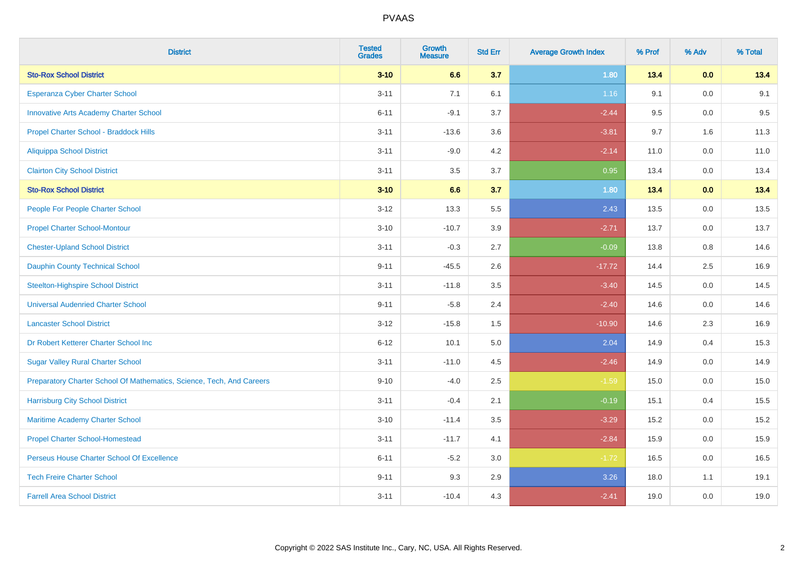| <b>District</b>                                                       | <b>Tested</b><br><b>Grades</b> | <b>Growth</b><br><b>Measure</b> | <b>Std Err</b> | <b>Average Growth Index</b> | % Prof | % Adv | % Total |
|-----------------------------------------------------------------------|--------------------------------|---------------------------------|----------------|-----------------------------|--------|-------|---------|
| <b>Sto-Rox School District</b>                                        | $3 - 10$                       | 6.6                             | 3.7            | 1.80                        | 13.4   | 0.0   | 13.4    |
| Esperanza Cyber Charter School                                        | $3 - 11$                       | 7.1                             | 6.1            | 1.16                        | 9.1    | 0.0   | 9.1     |
| <b>Innovative Arts Academy Charter School</b>                         | $6 - 11$                       | $-9.1$                          | 3.7            | $-2.44$                     | 9.5    | 0.0   | 9.5     |
| Propel Charter School - Braddock Hills                                | $3 - 11$                       | $-13.6$                         | 3.6            | $-3.81$                     | 9.7    | 1.6   | 11.3    |
| <b>Aliquippa School District</b>                                      | $3 - 11$                       | $-9.0$                          | 4.2            | $-2.14$                     | 11.0   | 0.0   | 11.0    |
| <b>Clairton City School District</b>                                  | $3 - 11$                       | 3.5                             | 3.7            | 0.95                        | 13.4   | 0.0   | 13.4    |
| <b>Sto-Rox School District</b>                                        | $3 - 10$                       | 6.6                             | 3.7            | 1.80                        | 13.4   | 0.0   | 13.4    |
| People For People Charter School                                      | $3 - 12$                       | 13.3                            | 5.5            | 2.43                        | 13.5   | 0.0   | 13.5    |
| <b>Propel Charter School-Montour</b>                                  | $3 - 10$                       | $-10.7$                         | 3.9            | $-2.71$                     | 13.7   | 0.0   | 13.7    |
| <b>Chester-Upland School District</b>                                 | $3 - 11$                       | $-0.3$                          | 2.7            | $-0.09$                     | 13.8   | 0.8   | 14.6    |
| <b>Dauphin County Technical School</b>                                | $9 - 11$                       | $-45.5$                         | 2.6            | $-17.72$                    | 14.4   | 2.5   | 16.9    |
| <b>Steelton-Highspire School District</b>                             | $3 - 11$                       | $-11.8$                         | 3.5            | $-3.40$                     | 14.5   | 0.0   | 14.5    |
| <b>Universal Audenried Charter School</b>                             | $9 - 11$                       | $-5.8$                          | 2.4            | $-2.40$                     | 14.6   | 0.0   | 14.6    |
| <b>Lancaster School District</b>                                      | $3 - 12$                       | $-15.8$                         | $1.5\,$        | $-10.90$                    | 14.6   | 2.3   | 16.9    |
| Dr Robert Ketterer Charter School Inc                                 | $6 - 12$                       | 10.1                            | $5.0\,$        | 2.04                        | 14.9   | 0.4   | 15.3    |
| <b>Sugar Valley Rural Charter School</b>                              | $3 - 11$                       | $-11.0$                         | 4.5            | $-2.46$                     | 14.9   | 0.0   | 14.9    |
| Preparatory Charter School Of Mathematics, Science, Tech, And Careers | $9 - 10$                       | $-4.0$                          | 2.5            | $-1.59$                     | 15.0   | 0.0   | 15.0    |
| <b>Harrisburg City School District</b>                                | $3 - 11$                       | $-0.4$                          | 2.1            | $-0.19$                     | 15.1   | 0.4   | 15.5    |
| Maritime Academy Charter School                                       | $3 - 10$                       | $-11.4$                         | 3.5            | $-3.29$                     | 15.2   | 0.0   | 15.2    |
| <b>Propel Charter School-Homestead</b>                                | $3 - 11$                       | $-11.7$                         | 4.1            | $-2.84$                     | 15.9   | 0.0   | 15.9    |
| Perseus House Charter School Of Excellence                            | $6 - 11$                       | $-5.2$                          | 3.0            | $-1.72$                     | 16.5   | 0.0   | 16.5    |
| <b>Tech Freire Charter School</b>                                     | $9 - 11$                       | 9.3                             | 2.9            | 3.26                        | 18.0   | 1.1   | 19.1    |
| <b>Farrell Area School District</b>                                   | $3 - 11$                       | $-10.4$                         | 4.3            | $-2.41$                     | 19.0   | 0.0   | 19.0    |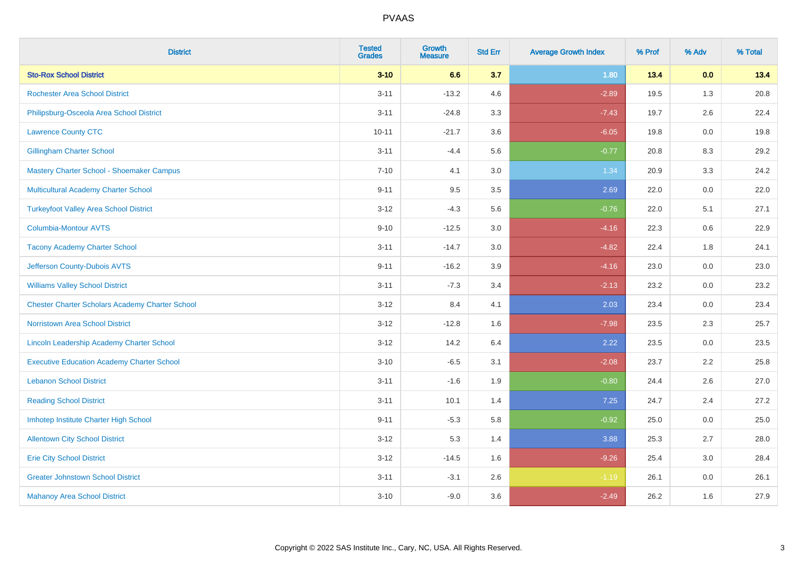| <b>District</b>                                        | <b>Tested</b><br><b>Grades</b> | Growth<br><b>Measure</b> | <b>Std Err</b> | <b>Average Growth Index</b> | % Prof | % Adv   | % Total |
|--------------------------------------------------------|--------------------------------|--------------------------|----------------|-----------------------------|--------|---------|---------|
| <b>Sto-Rox School District</b>                         | $3 - 10$                       | 6.6                      | 3.7            | 1.80                        | 13.4   | 0.0     | 13.4    |
| <b>Rochester Area School District</b>                  | $3 - 11$                       | $-13.2$                  | 4.6            | $-2.89$                     | 19.5   | 1.3     | 20.8    |
| Philipsburg-Osceola Area School District               | $3 - 11$                       | $-24.8$                  | 3.3            | $-7.43$                     | 19.7   | 2.6     | 22.4    |
| <b>Lawrence County CTC</b>                             | $10 - 11$                      | $-21.7$                  | 3.6            | $-6.05$                     | 19.8   | 0.0     | 19.8    |
| <b>Gillingham Charter School</b>                       | $3 - 11$                       | $-4.4$                   | 5.6            | $-0.77$                     | 20.8   | 8.3     | 29.2    |
| Mastery Charter School - Shoemaker Campus              | $7 - 10$                       | 4.1                      | 3.0            | 1.34                        | 20.9   | 3.3     | 24.2    |
| Multicultural Academy Charter School                   | $9 - 11$                       | 9.5                      | $3.5\,$        | 2.69                        | 22.0   | $0.0\,$ | 22.0    |
| <b>Turkeyfoot Valley Area School District</b>          | $3 - 12$                       | $-4.3$                   | 5.6            | $-0.76$                     | 22.0   | 5.1     | 27.1    |
| <b>Columbia-Montour AVTS</b>                           | $9 - 10$                       | $-12.5$                  | 3.0            | $-4.16$                     | 22.3   | 0.6     | 22.9    |
| <b>Tacony Academy Charter School</b>                   | $3 - 11$                       | $-14.7$                  | 3.0            | $-4.82$                     | 22.4   | 1.8     | 24.1    |
| Jefferson County-Dubois AVTS                           | $9 - 11$                       | $-16.2$                  | 3.9            | $-4.16$                     | 23.0   | 0.0     | 23.0    |
| <b>Williams Valley School District</b>                 | $3 - 11$                       | $-7.3$                   | 3.4            | $-2.13$                     | 23.2   | 0.0     | 23.2    |
| <b>Chester Charter Scholars Academy Charter School</b> | $3 - 12$                       | 8.4                      | 4.1            | 2.03                        | 23.4   | 0.0     | 23.4    |
| <b>Norristown Area School District</b>                 | $3-12$                         | $-12.8$                  | 1.6            | $-7.98$                     | 23.5   | 2.3     | 25.7    |
| Lincoln Leadership Academy Charter School              | $3-12$                         | 14.2                     | 6.4            | 2.22                        | 23.5   | 0.0     | 23.5    |
| <b>Executive Education Academy Charter School</b>      | $3 - 10$                       | $-6.5$                   | 3.1            | $-2.08$                     | 23.7   | 2.2     | 25.8    |
| <b>Lebanon School District</b>                         | $3 - 11$                       | $-1.6$                   | 1.9            | $-0.80$                     | 24.4   | 2.6     | 27.0    |
| <b>Reading School District</b>                         | $3 - 11$                       | 10.1                     | 1.4            | 7.25                        | 24.7   | 2.4     | 27.2    |
| Imhotep Institute Charter High School                  | $9 - 11$                       | $-5.3$                   | 5.8            | $-0.92$                     | 25.0   | 0.0     | 25.0    |
| <b>Allentown City School District</b>                  | $3 - 12$                       | 5.3                      | 1.4            | 3.88                        | 25.3   | 2.7     | 28.0    |
| <b>Erie City School District</b>                       | $3 - 12$                       | $-14.5$                  | 1.6            | $-9.26$                     | 25.4   | 3.0     | 28.4    |
| <b>Greater Johnstown School District</b>               | $3 - 11$                       | $-3.1$                   | 2.6            | $-1.19$                     | 26.1   | 0.0     | 26.1    |
| <b>Mahanoy Area School District</b>                    | $3 - 10$                       | $-9.0$                   | 3.6            | $-2.49$                     | 26.2   | 1.6     | 27.9    |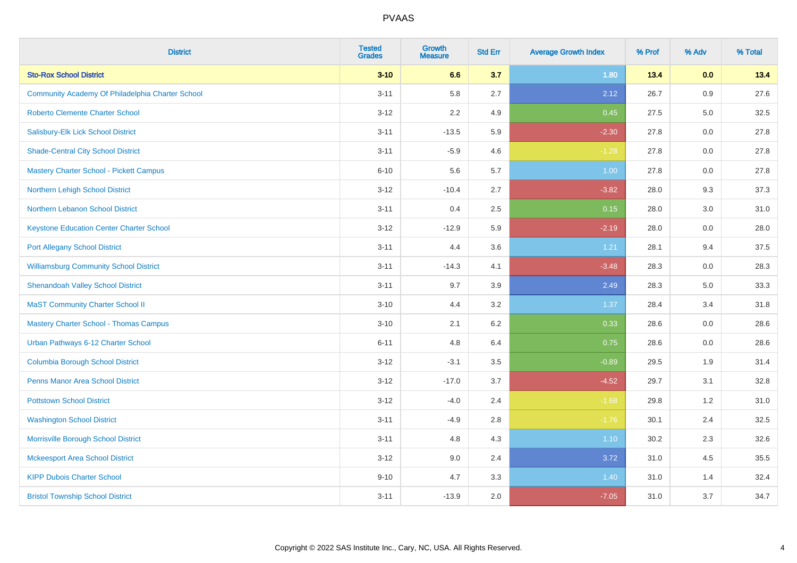| <b>District</b>                                  | <b>Tested</b><br><b>Grades</b> | <b>Growth</b><br><b>Measure</b> | <b>Std Err</b> | <b>Average Growth Index</b> | % Prof | % Adv | % Total |
|--------------------------------------------------|--------------------------------|---------------------------------|----------------|-----------------------------|--------|-------|---------|
| <b>Sto-Rox School District</b>                   | $3 - 10$                       | 6.6                             | 3.7            | 1.80                        | 13.4   | 0.0   | 13.4    |
| Community Academy Of Philadelphia Charter School | $3 - 11$                       | 5.8                             | 2.7            | 2.12                        | 26.7   | 0.9   | 27.6    |
| <b>Roberto Clemente Charter School</b>           | $3 - 12$                       | 2.2                             | 4.9            | 0.45                        | 27.5   | 5.0   | 32.5    |
| Salisbury-Elk Lick School District               | $3 - 11$                       | $-13.5$                         | 5.9            | $-2.30$                     | 27.8   | 0.0   | 27.8    |
| <b>Shade-Central City School District</b>        | $3 - 11$                       | $-5.9$                          | 4.6            | $-1.28$                     | 27.8   | 0.0   | 27.8    |
| <b>Mastery Charter School - Pickett Campus</b>   | $6 - 10$                       | 5.6                             | 5.7            | 1.00                        | 27.8   | 0.0   | 27.8    |
| Northern Lehigh School District                  | $3 - 12$                       | $-10.4$                         | 2.7            | $-3.82$                     | 28.0   | 9.3   | 37.3    |
| Northern Lebanon School District                 | $3 - 11$                       | 0.4                             | 2.5            | 0.15                        | 28.0   | 3.0   | 31.0    |
| <b>Keystone Education Center Charter School</b>  | $3 - 12$                       | $-12.9$                         | 5.9            | $-2.19$                     | 28.0   | 0.0   | 28.0    |
| <b>Port Allegany School District</b>             | $3 - 11$                       | 4.4                             | 3.6            | 1.21                        | 28.1   | 9.4   | 37.5    |
| <b>Williamsburg Community School District</b>    | $3 - 11$                       | $-14.3$                         | 4.1            | $-3.48$                     | 28.3   | 0.0   | 28.3    |
| <b>Shenandoah Valley School District</b>         | $3 - 11$                       | 9.7                             | 3.9            | 2.49                        | 28.3   | 5.0   | 33.3    |
| <b>MaST Community Charter School II</b>          | $3 - 10$                       | 4.4                             | 3.2            | 1.37                        | 28.4   | 3.4   | 31.8    |
| <b>Mastery Charter School - Thomas Campus</b>    | $3 - 10$                       | 2.1                             | 6.2            | 0.33                        | 28.6   | 0.0   | 28.6    |
| Urban Pathways 6-12 Charter School               | $6 - 11$                       | 4.8                             | 6.4            | 0.75                        | 28.6   | 0.0   | 28.6    |
| <b>Columbia Borough School District</b>          | $3 - 12$                       | $-3.1$                          | 3.5            | $-0.89$                     | 29.5   | 1.9   | 31.4    |
| <b>Penns Manor Area School District</b>          | $3 - 12$                       | $-17.0$                         | 3.7            | $-4.52$                     | 29.7   | 3.1   | 32.8    |
| <b>Pottstown School District</b>                 | $3 - 12$                       | $-4.0$                          | 2.4            | $-1.68$                     | 29.8   | 1.2   | 31.0    |
| <b>Washington School District</b>                | $3 - 11$                       | $-4.9$                          | 2.8            | $-1.76$                     | 30.1   | 2.4   | 32.5    |
| Morrisville Borough School District              | $3 - 11$                       | 4.8                             | 4.3            | $1.10$                      | 30.2   | 2.3   | 32.6    |
| <b>Mckeesport Area School District</b>           | $3 - 12$                       | 9.0                             | 2.4            | 3.72                        | 31.0   | 4.5   | 35.5    |
| <b>KIPP Dubois Charter School</b>                | $9 - 10$                       | 4.7                             | 3.3            | 1.40                        | 31.0   | 1.4   | 32.4    |
| <b>Bristol Township School District</b>          | $3 - 11$                       | $-13.9$                         | 2.0            | $-7.05$                     | 31.0   | 3.7   | 34.7    |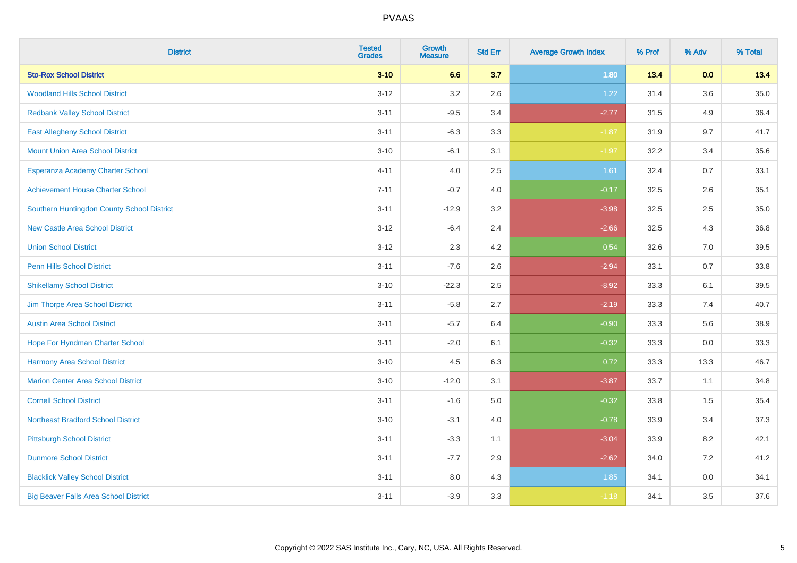| <b>District</b>                              | <b>Tested</b><br><b>Grades</b> | <b>Growth</b><br><b>Measure</b> | <b>Std Err</b> | <b>Average Growth Index</b> | % Prof | % Adv   | % Total |
|----------------------------------------------|--------------------------------|---------------------------------|----------------|-----------------------------|--------|---------|---------|
| <b>Sto-Rox School District</b>               | $3 - 10$                       | 6.6                             | 3.7            | 1.80                        | 13.4   | 0.0     | 13.4    |
| <b>Woodland Hills School District</b>        | $3 - 12$                       | 3.2                             | 2.6            | 1.22                        | 31.4   | $3.6\,$ | 35.0    |
| <b>Redbank Valley School District</b>        | $3 - 11$                       | $-9.5$                          | 3.4            | $-2.77$                     | 31.5   | 4.9     | 36.4    |
| <b>East Allegheny School District</b>        | $3 - 11$                       | $-6.3$                          | 3.3            | $-1.87$                     | 31.9   | 9.7     | 41.7    |
| <b>Mount Union Area School District</b>      | $3 - 10$                       | $-6.1$                          | 3.1            | $-1.97$                     | 32.2   | 3.4     | 35.6    |
| Esperanza Academy Charter School             | $4 - 11$                       | 4.0                             | 2.5            | 1.61                        | 32.4   | 0.7     | 33.1    |
| <b>Achievement House Charter School</b>      | $7 - 11$                       | $-0.7$                          | 4.0            | $-0.17$                     | 32.5   | 2.6     | 35.1    |
| Southern Huntingdon County School District   | $3 - 11$                       | $-12.9$                         | 3.2            | $-3.98$                     | 32.5   | 2.5     | 35.0    |
| <b>New Castle Area School District</b>       | $3 - 12$                       | $-6.4$                          | 2.4            | $-2.66$                     | 32.5   | 4.3     | 36.8    |
| <b>Union School District</b>                 | $3 - 12$                       | 2.3                             | 4.2            | 0.54                        | 32.6   | 7.0     | 39.5    |
| <b>Penn Hills School District</b>            | $3 - 11$                       | $-7.6$                          | 2.6            | $-2.94$                     | 33.1   | 0.7     | 33.8    |
| <b>Shikellamy School District</b>            | $3 - 10$                       | $-22.3$                         | 2.5            | $-8.92$                     | 33.3   | 6.1     | 39.5    |
| Jim Thorpe Area School District              | $3 - 11$                       | $-5.8$                          | 2.7            | $-2.19$                     | 33.3   | 7.4     | 40.7    |
| <b>Austin Area School District</b>           | $3 - 11$                       | $-5.7$                          | 6.4            | $-0.90$                     | 33.3   | 5.6     | 38.9    |
| Hope For Hyndman Charter School              | $3 - 11$                       | $-2.0$                          | 6.1            | $-0.32$                     | 33.3   | 0.0     | 33.3    |
| Harmony Area School District                 | $3 - 10$                       | 4.5                             | 6.3            | 0.72                        | 33.3   | 13.3    | 46.7    |
| <b>Marion Center Area School District</b>    | $3 - 10$                       | $-12.0$                         | 3.1            | $-3.87$                     | 33.7   | 1.1     | 34.8    |
| <b>Cornell School District</b>               | $3 - 11$                       | $-1.6$                          | 5.0            | $-0.32$                     | 33.8   | 1.5     | 35.4    |
| <b>Northeast Bradford School District</b>    | $3 - 10$                       | $-3.1$                          | $4.0\,$        | $-0.78$                     | 33.9   | 3.4     | 37.3    |
| <b>Pittsburgh School District</b>            | $3 - 11$                       | $-3.3$                          | 1.1            | $-3.04$                     | 33.9   | 8.2     | 42.1    |
| <b>Dunmore School District</b>               | $3 - 11$                       | $-7.7$                          | 2.9            | $-2.62$                     | 34.0   | 7.2     | 41.2    |
| <b>Blacklick Valley School District</b>      | $3 - 11$                       | 8.0                             | 4.3            | 1.85                        | 34.1   | 0.0     | 34.1    |
| <b>Big Beaver Falls Area School District</b> | $3 - 11$                       | $-3.9$                          | 3.3            | $-1.18$                     | 34.1   | 3.5     | 37.6    |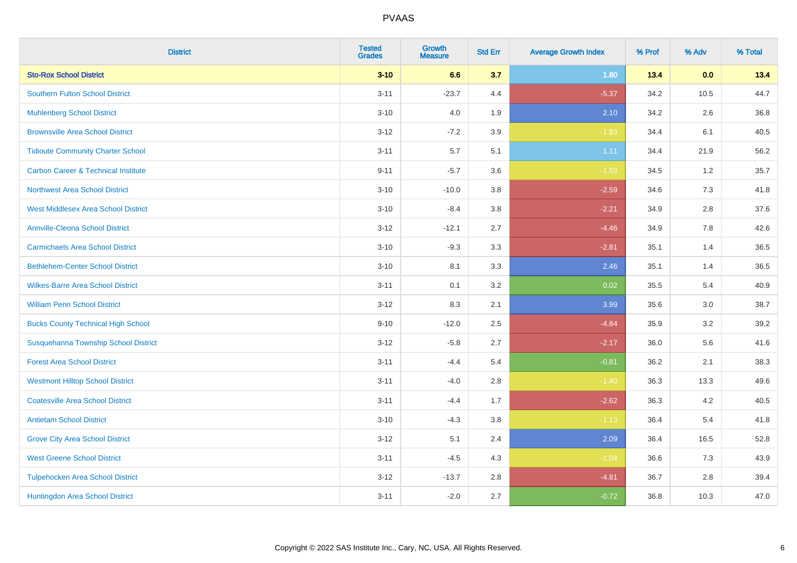| <b>District</b>                                | <b>Tested</b><br><b>Grades</b> | <b>Growth</b><br><b>Measure</b> | <b>Std Err</b> | <b>Average Growth Index</b> | % Prof | % Adv | % Total |
|------------------------------------------------|--------------------------------|---------------------------------|----------------|-----------------------------|--------|-------|---------|
| <b>Sto-Rox School District</b>                 | $3 - 10$                       | 6.6                             | 3.7            | 1.80                        | 13.4   | 0.0   | 13.4    |
| <b>Southern Fulton School District</b>         | $3 - 11$                       | $-23.7$                         | 4.4            | $-5.37$                     | 34.2   | 10.5  | 44.7    |
| <b>Muhlenberg School District</b>              | $3 - 10$                       | 4.0                             | 1.9            | 2.10                        | 34.2   | 2.6   | 36.8    |
| <b>Brownsville Area School District</b>        | $3-12$                         | $-7.2$                          | 3.9            | $-1.83$                     | 34.4   | 6.1   | 40.5    |
| <b>Tidioute Community Charter School</b>       | $3 - 11$                       | 5.7                             | 5.1            | 1.11                        | 34.4   | 21.9  | 56.2    |
| <b>Carbon Career &amp; Technical Institute</b> | $9 - 11$                       | $-5.7$                          | 3.6            | $-1.59$                     | 34.5   | 1.2   | 35.7    |
| Northwest Area School District                 | $3 - 10$                       | $-10.0$                         | 3.8            | $-2.59$                     | 34.6   | 7.3   | 41.8    |
| <b>West Middlesex Area School District</b>     | $3 - 10$                       | $-8.4$                          | 3.8            | $-2.21$                     | 34.9   | 2.8   | 37.6    |
| <b>Annville-Cleona School District</b>         | $3 - 12$                       | $-12.1$                         | 2.7            | $-4.46$                     | 34.9   | 7.8   | 42.6    |
| <b>Carmichaels Area School District</b>        | $3 - 10$                       | $-9.3$                          | 3.3            | $-2.81$                     | 35.1   | 1.4   | 36.5    |
| <b>Bethlehem-Center School District</b>        | $3 - 10$                       | 8.1                             | 3.3            | 2.46                        | 35.1   | 1.4   | 36.5    |
| <b>Wilkes-Barre Area School District</b>       | $3 - 11$                       | 0.1                             | 3.2            | 0.02                        | 35.5   | 5.4   | 40.9    |
| <b>William Penn School District</b>            | $3 - 12$                       | 8.3                             | 2.1            | 3.99                        | 35.6   | 3.0   | 38.7    |
| <b>Bucks County Technical High School</b>      | $9 - 10$                       | $-12.0$                         | 2.5            | $-4.84$                     | 35.9   | 3.2   | 39.2    |
| Susquehanna Township School District           | $3 - 12$                       | $-5.8$                          | 2.7            | $-2.17$                     | 36.0   | 5.6   | 41.6    |
| <b>Forest Area School District</b>             | $3 - 11$                       | $-4.4$                          | 5.4            | $-0.81$                     | 36.2   | 2.1   | 38.3    |
| <b>Westmont Hilltop School District</b>        | $3 - 11$                       | $-4.0$                          | 2.8            | $-1.40$                     | 36.3   | 13.3  | 49.6    |
| <b>Coatesville Area School District</b>        | $3 - 11$                       | $-4.4$                          | 1.7            | $-2.62$                     | 36.3   | 4.2   | 40.5    |
| <b>Antietam School District</b>                | $3 - 10$                       | $-4.3$                          | 3.8            | $-1.13$                     | 36.4   | 5.4   | 41.8    |
| <b>Grove City Area School District</b>         | $3 - 12$                       | 5.1                             | 2.4            | 2.09                        | 36.4   | 16.5  | 52.8    |
| <b>West Greene School District</b>             | $3 - 11$                       | $-4.5$                          | 4.3            | $-1.04$                     | 36.6   | 7.3   | 43.9    |
| <b>Tulpehocken Area School District</b>        | $3 - 12$                       | $-13.7$                         | 2.8            | $-4.81$                     | 36.7   | 2.8   | 39.4    |
| Huntingdon Area School District                | $3 - 11$                       | $-2.0$                          | 2.7            | $-0.72$                     | 36.8   | 10.3  | 47.0    |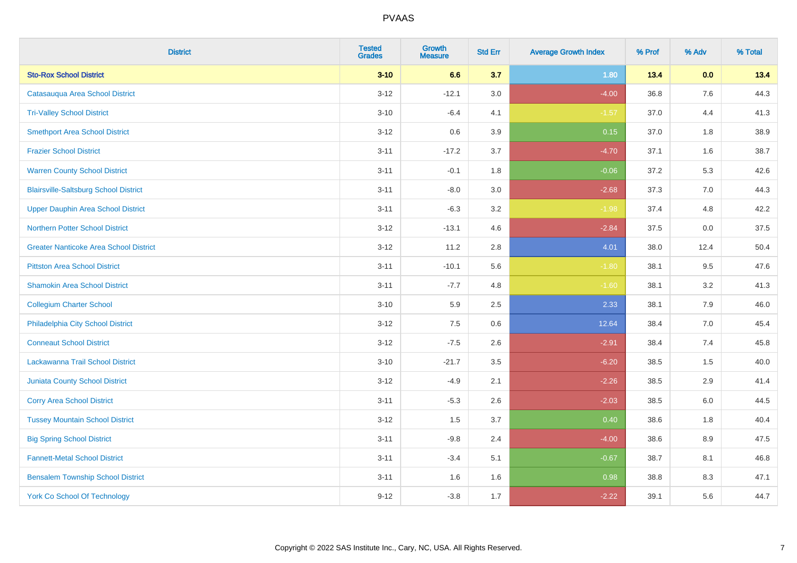| <b>District</b>                               | <b>Tested</b><br><b>Grades</b> | <b>Growth</b><br><b>Measure</b> | <b>Std Err</b> | <b>Average Growth Index</b> | % Prof | % Adv | % Total |
|-----------------------------------------------|--------------------------------|---------------------------------|----------------|-----------------------------|--------|-------|---------|
| <b>Sto-Rox School District</b>                | $3 - 10$                       | 6.6                             | 3.7            | 1.80                        | 13.4   | 0.0   | 13.4    |
| Catasauqua Area School District               | $3 - 12$                       | $-12.1$                         | 3.0            | $-4.00$                     | 36.8   | 7.6   | 44.3    |
| <b>Tri-Valley School District</b>             | $3 - 10$                       | $-6.4$                          | 4.1            | $-1.57$                     | 37.0   | 4.4   | 41.3    |
| <b>Smethport Area School District</b>         | $3 - 12$                       | 0.6                             | 3.9            | 0.15                        | 37.0   | 1.8   | 38.9    |
| <b>Frazier School District</b>                | $3 - 11$                       | $-17.2$                         | 3.7            | $-4.70$                     | 37.1   | 1.6   | 38.7    |
| <b>Warren County School District</b>          | $3 - 11$                       | $-0.1$                          | 1.8            | $-0.06$                     | 37.2   | 5.3   | 42.6    |
| <b>Blairsville-Saltsburg School District</b>  | $3 - 11$                       | $-8.0$                          | 3.0            | $-2.68$                     | 37.3   | 7.0   | 44.3    |
| <b>Upper Dauphin Area School District</b>     | $3 - 11$                       | $-6.3$                          | 3.2            | $-1.98$                     | 37.4   | 4.8   | 42.2    |
| <b>Northern Potter School District</b>        | $3 - 12$                       | $-13.1$                         | 4.6            | $-2.84$                     | 37.5   | 0.0   | 37.5    |
| <b>Greater Nanticoke Area School District</b> | $3 - 12$                       | 11.2                            | 2.8            | 4.01                        | 38.0   | 12.4  | 50.4    |
| <b>Pittston Area School District</b>          | $3 - 11$                       | $-10.1$                         | 5.6            | $-1.80$                     | 38.1   | 9.5   | 47.6    |
| <b>Shamokin Area School District</b>          | $3 - 11$                       | $-7.7$                          | 4.8            | $-1.60$                     | 38.1   | 3.2   | 41.3    |
| <b>Collegium Charter School</b>               | $3 - 10$                       | 5.9                             | 2.5            | 2.33                        | 38.1   | $7.9$ | 46.0    |
| Philadelphia City School District             | $3 - 12$                       | 7.5                             | 0.6            | 12.64                       | 38.4   | 7.0   | 45.4    |
| <b>Conneaut School District</b>               | $3 - 12$                       | $-7.5$                          | 2.6            | $-2.91$                     | 38.4   | 7.4   | 45.8    |
| Lackawanna Trail School District              | $3 - 10$                       | $-21.7$                         | 3.5            | $-6.20$                     | 38.5   | 1.5   | 40.0    |
| <b>Juniata County School District</b>         | $3 - 12$                       | $-4.9$                          | 2.1            | $-2.26$                     | 38.5   | 2.9   | 41.4    |
| <b>Corry Area School District</b>             | $3 - 11$                       | $-5.3$                          | 2.6            | $-2.03$                     | 38.5   | 6.0   | 44.5    |
| <b>Tussey Mountain School District</b>        | $3 - 12$                       | 1.5                             | 3.7            | 0.40                        | 38.6   | 1.8   | 40.4    |
| <b>Big Spring School District</b>             | $3 - 11$                       | $-9.8$                          | 2.4            | $-4.00$                     | 38.6   | 8.9   | 47.5    |
| <b>Fannett-Metal School District</b>          | $3 - 11$                       | $-3.4$                          | 5.1            | $-0.67$                     | 38.7   | 8.1   | 46.8    |
| <b>Bensalem Township School District</b>      | $3 - 11$                       | 1.6                             | 1.6            | 0.98                        | 38.8   | 8.3   | 47.1    |
| <b>York Co School Of Technology</b>           | $9 - 12$                       | $-3.8$                          | 1.7            | $-2.22$                     | 39.1   | 5.6   | 44.7    |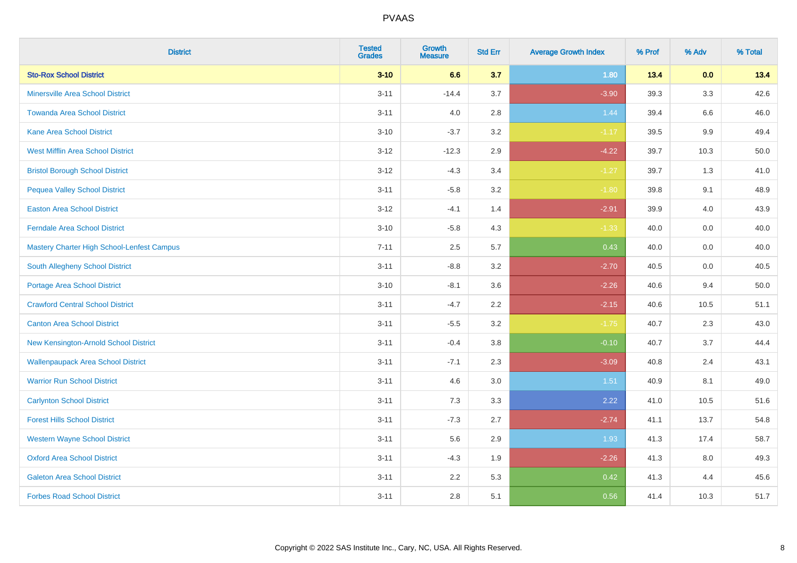| <b>District</b>                            | <b>Tested</b><br><b>Grades</b> | Growth<br><b>Measure</b> | <b>Std Err</b> | <b>Average Growth Index</b> | % Prof | % Adv   | % Total |
|--------------------------------------------|--------------------------------|--------------------------|----------------|-----------------------------|--------|---------|---------|
| <b>Sto-Rox School District</b>             | $3 - 10$                       | 6.6                      | 3.7            | 1.80                        | 13.4   | 0.0     | 13.4    |
| <b>Minersville Area School District</b>    | $3 - 11$                       | $-14.4$                  | 3.7            | $-3.90$                     | 39.3   | 3.3     | 42.6    |
| <b>Towanda Area School District</b>        | $3 - 11$                       | 4.0                      | 2.8            | 1.44                        | 39.4   | 6.6     | 46.0    |
| Kane Area School District                  | $3 - 10$                       | $-3.7$                   | $3.2\,$        | $-1.17$                     | 39.5   | $9.9\,$ | 49.4    |
| <b>West Mifflin Area School District</b>   | $3 - 12$                       | $-12.3$                  | 2.9            | $-4.22$                     | 39.7   | 10.3    | 50.0    |
| <b>Bristol Borough School District</b>     | $3 - 12$                       | $-4.3$                   | 3.4            | $-1.27$                     | 39.7   | 1.3     | 41.0    |
| <b>Pequea Valley School District</b>       | $3 - 11$                       | $-5.8$                   | 3.2            | $-1.80$                     | 39.8   | 9.1     | 48.9    |
| <b>Easton Area School District</b>         | $3 - 12$                       | $-4.1$                   | 1.4            | $-2.91$                     | 39.9   | 4.0     | 43.9    |
| <b>Ferndale Area School District</b>       | $3 - 10$                       | $-5.8$                   | 4.3            | $-1.33$                     | 40.0   | 0.0     | 40.0    |
| Mastery Charter High School-Lenfest Campus | $7 - 11$                       | $2.5\,$                  | 5.7            | 0.43                        | 40.0   | 0.0     | 40.0    |
| South Allegheny School District            | $3 - 11$                       | $-8.8$                   | 3.2            | $-2.70$                     | 40.5   | 0.0     | 40.5    |
| <b>Portage Area School District</b>        | $3 - 10$                       | $-8.1$                   | 3.6            | $-2.26$                     | 40.6   | 9.4     | 50.0    |
| <b>Crawford Central School District</b>    | $3 - 11$                       | $-4.7$                   | 2.2            | $-2.15$                     | 40.6   | 10.5    | 51.1    |
| <b>Canton Area School District</b>         | $3 - 11$                       | $-5.5$                   | 3.2            | $-1.75$                     | 40.7   | 2.3     | 43.0    |
| New Kensington-Arnold School District      | $3 - 11$                       | $-0.4$                   | 3.8            | $-0.10$                     | 40.7   | 3.7     | 44.4    |
| <b>Wallenpaupack Area School District</b>  | $3 - 11$                       | $-7.1$                   | 2.3            | $-3.09$                     | 40.8   | 2.4     | 43.1    |
| <b>Warrior Run School District</b>         | $3 - 11$                       | 4.6                      | 3.0            | 1.51                        | 40.9   | 8.1     | 49.0    |
| <b>Carlynton School District</b>           | $3 - 11$                       | 7.3                      | 3.3            | 2.22                        | 41.0   | 10.5    | 51.6    |
| <b>Forest Hills School District</b>        | $3 - 11$                       | $-7.3$                   | 2.7            | $-2.74$                     | 41.1   | 13.7    | 54.8    |
| <b>Western Wayne School District</b>       | $3 - 11$                       | 5.6                      | 2.9            | 1.93                        | 41.3   | 17.4    | 58.7    |
| <b>Oxford Area School District</b>         | $3 - 11$                       | $-4.3$                   | 1.9            | $-2.26$                     | 41.3   | 8.0     | 49.3    |
| <b>Galeton Area School District</b>        | $3 - 11$                       | 2.2                      | 5.3            | 0.42                        | 41.3   | 4.4     | 45.6    |
| <b>Forbes Road School District</b>         | $3 - 11$                       | 2.8                      | 5.1            | 0.56                        | 41.4   | 10.3    | 51.7    |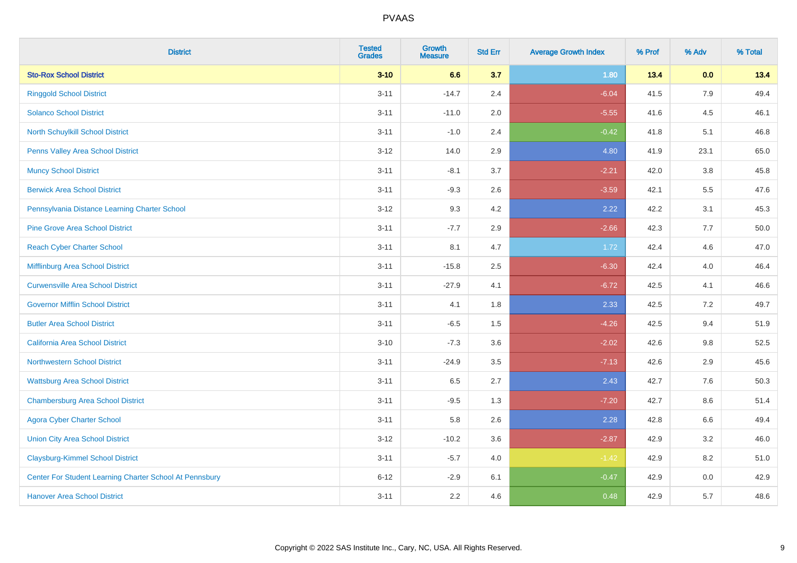| <b>District</b>                                         | <b>Tested</b><br><b>Grades</b> | <b>Growth</b><br><b>Measure</b> | <b>Std Err</b> | <b>Average Growth Index</b> | % Prof | % Adv | % Total |
|---------------------------------------------------------|--------------------------------|---------------------------------|----------------|-----------------------------|--------|-------|---------|
| <b>Sto-Rox School District</b>                          | $3 - 10$                       | 6.6                             | 3.7            | 1.80                        | 13.4   | 0.0   | 13.4    |
| <b>Ringgold School District</b>                         | $3 - 11$                       | $-14.7$                         | 2.4            | $-6.04$                     | 41.5   | 7.9   | 49.4    |
| <b>Solanco School District</b>                          | $3 - 11$                       | $-11.0$                         | 2.0            | $-5.55$                     | 41.6   | 4.5   | 46.1    |
| North Schuylkill School District                        | $3 - 11$                       | $-1.0$                          | 2.4            | $-0.42$                     | 41.8   | 5.1   | 46.8    |
| <b>Penns Valley Area School District</b>                | $3 - 12$                       | 14.0                            | 2.9            | 4.80                        | 41.9   | 23.1  | 65.0    |
| <b>Muncy School District</b>                            | $3 - 11$                       | $-8.1$                          | 3.7            | $-2.21$                     | 42.0   | 3.8   | 45.8    |
| <b>Berwick Area School District</b>                     | $3 - 11$                       | $-9.3$                          | 2.6            | $-3.59$                     | 42.1   | 5.5   | 47.6    |
| Pennsylvania Distance Learning Charter School           | $3 - 12$                       | 9.3                             | 4.2            | 2.22                        | 42.2   | 3.1   | 45.3    |
| <b>Pine Grove Area School District</b>                  | $3 - 11$                       | $-7.7$                          | 2.9            | $-2.66$                     | 42.3   | 7.7   | 50.0    |
| <b>Reach Cyber Charter School</b>                       | $3 - 11$                       | 8.1                             | 4.7            | 1.72                        | 42.4   | 4.6   | 47.0    |
| Mifflinburg Area School District                        | $3 - 11$                       | $-15.8$                         | 2.5            | $-6.30$                     | 42.4   | 4.0   | 46.4    |
| <b>Curwensville Area School District</b>                | $3 - 11$                       | $-27.9$                         | 4.1            | $-6.72$                     | 42.5   | 4.1   | 46.6    |
| <b>Governor Mifflin School District</b>                 | $3 - 11$                       | 4.1                             | 1.8            | 2.33                        | 42.5   | 7.2   | 49.7    |
| <b>Butler Area School District</b>                      | $3 - 11$                       | $-6.5$                          | 1.5            | $-4.26$                     | 42.5   | 9.4   | 51.9    |
| <b>California Area School District</b>                  | $3 - 10$                       | $-7.3$                          | 3.6            | $-2.02$                     | 42.6   | 9.8   | 52.5    |
| Northwestern School District                            | $3 - 11$                       | $-24.9$                         | 3.5            | $-7.13$                     | 42.6   | 2.9   | 45.6    |
| <b>Wattsburg Area School District</b>                   | $3 - 11$                       | 6.5                             | 2.7            | 2.43                        | 42.7   | 7.6   | 50.3    |
| <b>Chambersburg Area School District</b>                | $3 - 11$                       | $-9.5$                          | 1.3            | $-7.20$                     | 42.7   | 8.6   | 51.4    |
| <b>Agora Cyber Charter School</b>                       | $3 - 11$                       | 5.8                             | 2.6            | 2.28                        | 42.8   | 6.6   | 49.4    |
| <b>Union City Area School District</b>                  | $3 - 12$                       | $-10.2$                         | 3.6            | $-2.87$                     | 42.9   | 3.2   | 46.0    |
| <b>Claysburg-Kimmel School District</b>                 | $3 - 11$                       | $-5.7$                          | 4.0            | $-1.42$                     | 42.9   | 8.2   | 51.0    |
| Center For Student Learning Charter School At Pennsbury | $6 - 12$                       | $-2.9$                          | 6.1            | $-0.47$                     | 42.9   | 0.0   | 42.9    |
| <b>Hanover Area School District</b>                     | $3 - 11$                       | 2.2                             | 4.6            | 0.48                        | 42.9   | 5.7   | 48.6    |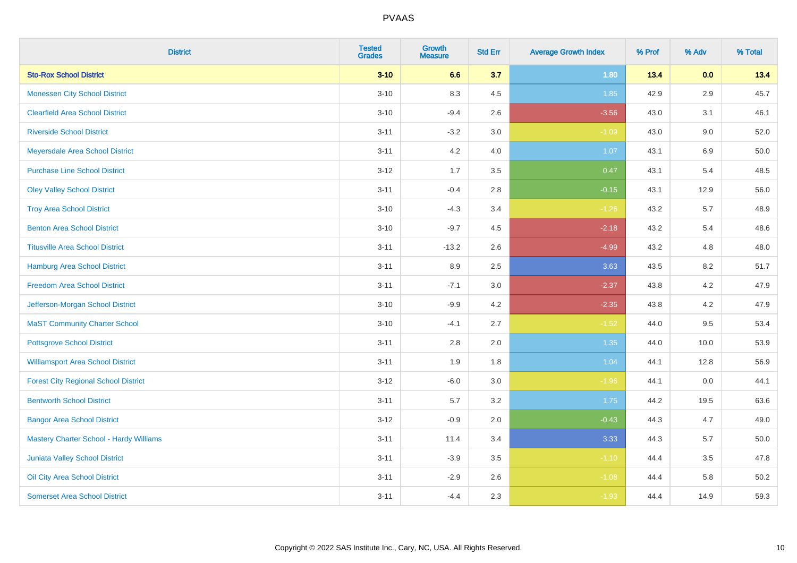| <b>District</b>                                | <b>Tested</b><br><b>Grades</b> | Growth<br><b>Measure</b> | <b>Std Err</b> | <b>Average Growth Index</b> | % Prof | % Adv | % Total |
|------------------------------------------------|--------------------------------|--------------------------|----------------|-----------------------------|--------|-------|---------|
| <b>Sto-Rox School District</b>                 | $3 - 10$                       | 6.6                      | 3.7            | 1.80                        | 13.4   | 0.0   | 13.4    |
| <b>Monessen City School District</b>           | $3 - 10$                       | 8.3                      | 4.5            | 1.85                        | 42.9   | 2.9   | 45.7    |
| <b>Clearfield Area School District</b>         | $3 - 10$                       | $-9.4$                   | 2.6            | $-3.56$                     | 43.0   | 3.1   | 46.1    |
| <b>Riverside School District</b>               | $3 - 11$                       | $-3.2$                   | 3.0            | $-1.09$                     | 43.0   | 9.0   | 52.0    |
| Meyersdale Area School District                | $3 - 11$                       | 4.2                      | 4.0            | 1.07                        | 43.1   | 6.9   | 50.0    |
| <b>Purchase Line School District</b>           | $3 - 12$                       | 1.7                      | 3.5            | 0.47                        | 43.1   | 5.4   | 48.5    |
| <b>Oley Valley School District</b>             | $3 - 11$                       | $-0.4$                   | 2.8            | $-0.15$                     | 43.1   | 12.9  | 56.0    |
| <b>Troy Area School District</b>               | $3 - 10$                       | $-4.3$                   | 3.4            | $-1.26$                     | 43.2   | 5.7   | 48.9    |
| <b>Benton Area School District</b>             | $3 - 10$                       | $-9.7$                   | 4.5            | $-2.18$                     | 43.2   | 5.4   | 48.6    |
| <b>Titusville Area School District</b>         | $3 - 11$                       | $-13.2$                  | 2.6            | $-4.99$                     | 43.2   | 4.8   | 48.0    |
| Hamburg Area School District                   | $3 - 11$                       | 8.9                      | 2.5            | 3.63                        | 43.5   | 8.2   | 51.7    |
| <b>Freedom Area School District</b>            | $3 - 11$                       | $-7.1$                   | 3.0            | $-2.37$                     | 43.8   | 4.2   | 47.9    |
| Jefferson-Morgan School District               | $3 - 10$                       | $-9.9$                   | 4.2            | $-2.35$                     | 43.8   | 4.2   | 47.9    |
| <b>MaST Community Charter School</b>           | $3 - 10$                       | $-4.1$                   | 2.7            | $-1.52$                     | 44.0   | 9.5   | 53.4    |
| <b>Pottsgrove School District</b>              | $3 - 11$                       | 2.8                      | 2.0            | 1.35                        | 44.0   | 10.0  | 53.9    |
| <b>Williamsport Area School District</b>       | $3 - 11$                       | 1.9                      | 1.8            | 1.04                        | 44.1   | 12.8  | 56.9    |
| <b>Forest City Regional School District</b>    | $3 - 12$                       | $-6.0$                   | 3.0            | $-1.96$                     | 44.1   | 0.0   | 44.1    |
| <b>Bentworth School District</b>               | $3 - 11$                       | 5.7                      | 3.2            | 1.75                        | 44.2   | 19.5  | 63.6    |
| <b>Bangor Area School District</b>             | $3 - 12$                       | $-0.9$                   | 2.0            | $-0.43$                     | 44.3   | 4.7   | 49.0    |
| <b>Mastery Charter School - Hardy Williams</b> | $3 - 11$                       | 11.4                     | 3.4            | 3.33                        | 44.3   | 5.7   | 50.0    |
| <b>Juniata Valley School District</b>          | $3 - 11$                       | $-3.9$                   | 3.5            | $-1.10$                     | 44.4   | 3.5   | 47.8    |
| Oil City Area School District                  | $3 - 11$                       | $-2.9$                   | 2.6            | $-1.08$                     | 44.4   | 5.8   | 50.2    |
| <b>Somerset Area School District</b>           | $3 - 11$                       | $-4.4$                   | 2.3            | $-1.93$                     | 44.4   | 14.9  | 59.3    |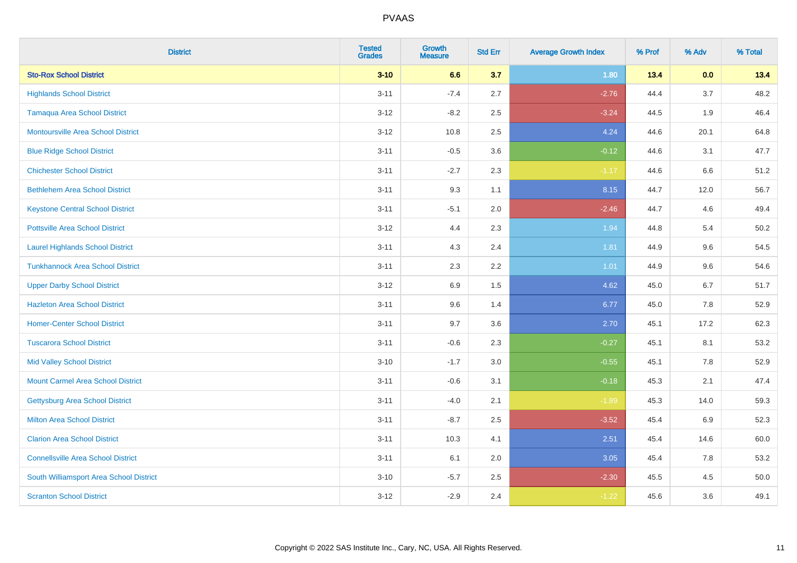| <b>District</b>                           | <b>Tested</b><br><b>Grades</b> | <b>Growth</b><br><b>Measure</b> | <b>Std Err</b> | <b>Average Growth Index</b> | % Prof | % Adv | % Total |
|-------------------------------------------|--------------------------------|---------------------------------|----------------|-----------------------------|--------|-------|---------|
| <b>Sto-Rox School District</b>            | $3 - 10$                       | 6.6                             | 3.7            | 1.80                        | 13.4   | 0.0   | 13.4    |
| <b>Highlands School District</b>          | $3 - 11$                       | $-7.4$                          | 2.7            | $-2.76$                     | 44.4   | 3.7   | 48.2    |
| <b>Tamaqua Area School District</b>       | $3-12$                         | $-8.2$                          | 2.5            | $-3.24$                     | 44.5   | 1.9   | 46.4    |
| <b>Montoursville Area School District</b> | $3 - 12$                       | 10.8                            | 2.5            | 4.24                        | 44.6   | 20.1  | 64.8    |
| <b>Blue Ridge School District</b>         | $3 - 11$                       | $-0.5$                          | 3.6            | $-0.12$                     | 44.6   | 3.1   | 47.7    |
| <b>Chichester School District</b>         | $3 - 11$                       | $-2.7$                          | 2.3            | $-1.17$                     | 44.6   | 6.6   | 51.2    |
| <b>Bethlehem Area School District</b>     | $3 - 11$                       | 9.3                             | 1.1            | 8.15                        | 44.7   | 12.0  | 56.7    |
| <b>Keystone Central School District</b>   | $3 - 11$                       | $-5.1$                          | 2.0            | $-2.46$                     | 44.7   | 4.6   | 49.4    |
| <b>Pottsville Area School District</b>    | $3-12$                         | 4.4                             | 2.3            | 1.94                        | 44.8   | 5.4   | 50.2    |
| <b>Laurel Highlands School District</b>   | $3 - 11$                       | 4.3                             | 2.4            | 1.81                        | 44.9   | 9.6   | 54.5    |
| <b>Tunkhannock Area School District</b>   | $3 - 11$                       | 2.3                             | 2.2            | 1.01                        | 44.9   | 9.6   | 54.6    |
| <b>Upper Darby School District</b>        | $3 - 12$                       | 6.9                             | 1.5            | 4.62                        | 45.0   | 6.7   | 51.7    |
| <b>Hazleton Area School District</b>      | $3 - 11$                       | 9.6                             | 1.4            | 6.77                        | 45.0   | 7.8   | 52.9    |
| <b>Homer-Center School District</b>       | $3 - 11$                       | 9.7                             | 3.6            | 2.70                        | 45.1   | 17.2  | 62.3    |
| <b>Tuscarora School District</b>          | $3 - 11$                       | $-0.6$                          | 2.3            | $-0.27$                     | 45.1   | 8.1   | 53.2    |
| <b>Mid Valley School District</b>         | $3 - 10$                       | $-1.7$                          | 3.0            | $-0.55$                     | 45.1   | 7.8   | 52.9    |
| <b>Mount Carmel Area School District</b>  | $3 - 11$                       | $-0.6$                          | 3.1            | $-0.18$                     | 45.3   | 2.1   | 47.4    |
| Gettysburg Area School District           | $3 - 11$                       | $-4.0$                          | 2.1            | $-1.89$                     | 45.3   | 14.0  | 59.3    |
| <b>Milton Area School District</b>        | $3 - 11$                       | $-8.7$                          | 2.5            | $-3.52$                     | 45.4   | 6.9   | 52.3    |
| <b>Clarion Area School District</b>       | $3 - 11$                       | 10.3                            | 4.1            | 2.51                        | 45.4   | 14.6  | 60.0    |
| <b>Connellsville Area School District</b> | $3 - 11$                       | 6.1                             | 2.0            | 3.05                        | 45.4   | 7.8   | 53.2    |
| South Williamsport Area School District   | $3 - 10$                       | $-5.7$                          | 2.5            | $-2.30$                     | 45.5   | 4.5   | 50.0    |
| <b>Scranton School District</b>           | $3 - 12$                       | $-2.9$                          | 2.4            | $-1.22$                     | 45.6   | 3.6   | 49.1    |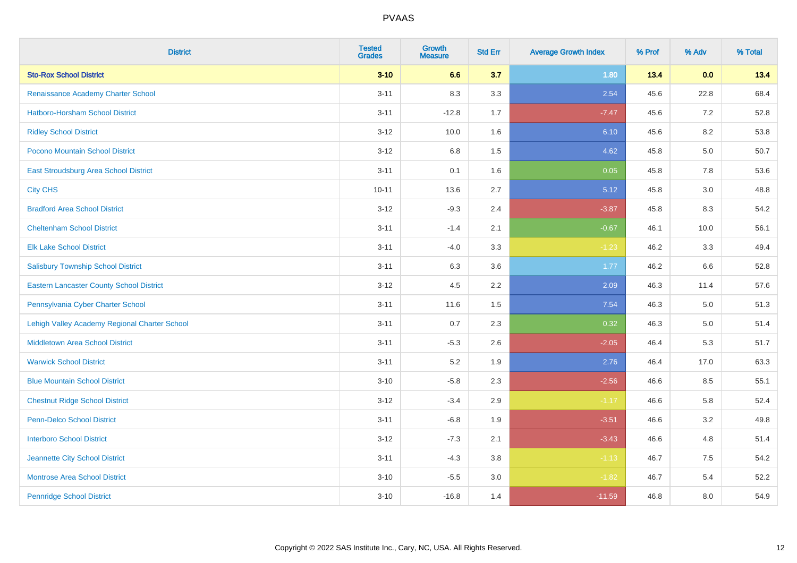| <b>District</b>                                 | <b>Tested</b><br><b>Grades</b> | Growth<br><b>Measure</b> | <b>Std Err</b> | <b>Average Growth Index</b> | % Prof | % Adv | % Total |
|-------------------------------------------------|--------------------------------|--------------------------|----------------|-----------------------------|--------|-------|---------|
| <b>Sto-Rox School District</b>                  | $3 - 10$                       | 6.6                      | 3.7            | 1.80                        | 13.4   | 0.0   | 13.4    |
| Renaissance Academy Charter School              | $3 - 11$                       | 8.3                      | 3.3            | 2.54                        | 45.6   | 22.8  | 68.4    |
| Hatboro-Horsham School District                 | $3 - 11$                       | $-12.8$                  | 1.7            | $-7.47$                     | 45.6   | 7.2   | 52.8    |
| <b>Ridley School District</b>                   | $3 - 12$                       | 10.0                     | 1.6            | 6.10                        | 45.6   | 8.2   | 53.8    |
| Pocono Mountain School District                 | $3 - 12$                       | 6.8                      | 1.5            | 4.62                        | 45.8   | 5.0   | 50.7    |
| East Stroudsburg Area School District           | $3 - 11$                       | 0.1                      | 1.6            | 0.05                        | 45.8   | 7.8   | 53.6    |
| <b>City CHS</b>                                 | $10 - 11$                      | 13.6                     | 2.7            | 5.12                        | 45.8   | 3.0   | 48.8    |
| <b>Bradford Area School District</b>            | $3 - 12$                       | $-9.3$                   | 2.4            | $-3.87$                     | 45.8   | 8.3   | 54.2    |
| <b>Cheltenham School District</b>               | $3 - 11$                       | $-1.4$                   | 2.1            | $-0.67$                     | 46.1   | 10.0  | 56.1    |
| <b>Elk Lake School District</b>                 | $3 - 11$                       | $-4.0$                   | 3.3            | $-1.23$                     | 46.2   | 3.3   | 49.4    |
| <b>Salisbury Township School District</b>       | $3 - 11$                       | 6.3                      | 3.6            | 1.77                        | 46.2   | 6.6   | 52.8    |
| <b>Eastern Lancaster County School District</b> | $3 - 12$                       | 4.5                      | $2.2\,$        | 2.09                        | 46.3   | 11.4  | 57.6    |
| Pennsylvania Cyber Charter School               | $3 - 11$                       | 11.6                     | 1.5            | 7.54                        | 46.3   | 5.0   | 51.3    |
| Lehigh Valley Academy Regional Charter School   | $3 - 11$                       | 0.7                      | 2.3            | 0.32                        | 46.3   | 5.0   | 51.4    |
| <b>Middletown Area School District</b>          | $3 - 11$                       | $-5.3$                   | 2.6            | $-2.05$                     | 46.4   | 5.3   | 51.7    |
| <b>Warwick School District</b>                  | $3 - 11$                       | 5.2                      | 1.9            | 2.76                        | 46.4   | 17.0  | 63.3    |
| <b>Blue Mountain School District</b>            | $3 - 10$                       | $-5.8$                   | 2.3            | $-2.56$                     | 46.6   | 8.5   | 55.1    |
| <b>Chestnut Ridge School District</b>           | $3 - 12$                       | $-3.4$                   | 2.9            | $-1.17$                     | 46.6   | 5.8   | 52.4    |
| <b>Penn-Delco School District</b>               | $3 - 11$                       | $-6.8$                   | 1.9            | $-3.51$                     | 46.6   | 3.2   | 49.8    |
| <b>Interboro School District</b>                | $3 - 12$                       | $-7.3$                   | 2.1            | $-3.43$                     | 46.6   | 4.8   | 51.4    |
| Jeannette City School District                  | $3 - 11$                       | $-4.3$                   | 3.8            | $-1.13$                     | 46.7   | 7.5   | 54.2    |
| <b>Montrose Area School District</b>            | $3 - 10$                       | $-5.5$                   | $3.0\,$        | $-1.82$                     | 46.7   | 5.4   | 52.2    |
| <b>Pennridge School District</b>                | $3 - 10$                       | $-16.8$                  | 1.4            | $-11.59$                    | 46.8   | 8.0   | 54.9    |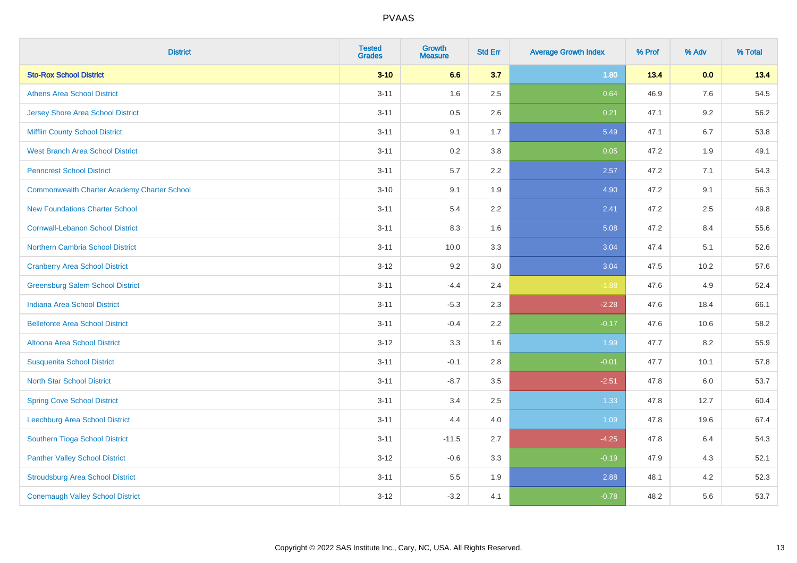| <b>District</b>                             | <b>Tested</b><br><b>Grades</b> | Growth<br><b>Measure</b> | <b>Std Err</b> | <b>Average Growth Index</b> | % Prof | % Adv | % Total |
|---------------------------------------------|--------------------------------|--------------------------|----------------|-----------------------------|--------|-------|---------|
| <b>Sto-Rox School District</b>              | $3 - 10$                       | 6.6                      | 3.7            | 1.80                        | 13.4   | 0.0   | 13.4    |
| <b>Athens Area School District</b>          | $3 - 11$                       | 1.6                      | 2.5            | 0.64                        | 46.9   | 7.6   | 54.5    |
| <b>Jersey Shore Area School District</b>    | $3 - 11$                       | 0.5                      | 2.6            | 0.21                        | 47.1   | 9.2   | 56.2    |
| Mifflin County School District              | $3 - 11$                       | 9.1                      | 1.7            | 5.49                        | 47.1   | 6.7   | 53.8    |
| <b>West Branch Area School District</b>     | $3 - 11$                       | 0.2                      | 3.8            | 0.05                        | 47.2   | 1.9   | 49.1    |
| <b>Penncrest School District</b>            | $3 - 11$                       | 5.7                      | 2.2            | 2.57                        | 47.2   | 7.1   | 54.3    |
| Commonwealth Charter Academy Charter School | $3 - 10$                       | 9.1                      | 1.9            | 4.90                        | 47.2   | 9.1   | 56.3    |
| <b>New Foundations Charter School</b>       | $3 - 11$                       | 5.4                      | 2.2            | 2.41                        | 47.2   | 2.5   | 49.8    |
| <b>Cornwall-Lebanon School District</b>     | $3 - 11$                       | 8.3                      | 1.6            | 5.08                        | 47.2   | 8.4   | 55.6    |
| <b>Northern Cambria School District</b>     | $3 - 11$                       | 10.0                     | 3.3            | 3.04                        | 47.4   | 5.1   | 52.6    |
| <b>Cranberry Area School District</b>       | $3-12$                         | 9.2                      | 3.0            | 3.04                        | 47.5   | 10.2  | 57.6    |
| <b>Greensburg Salem School District</b>     | $3 - 11$                       | $-4.4$                   | 2.4            | $-1.88$                     | 47.6   | 4.9   | 52.4    |
| <b>Indiana Area School District</b>         | $3 - 11$                       | $-5.3$                   | 2.3            | $-2.28$                     | 47.6   | 18.4  | 66.1    |
| <b>Bellefonte Area School District</b>      | $3 - 11$                       | $-0.4$                   | 2.2            | $-0.17$                     | 47.6   | 10.6  | 58.2    |
| Altoona Area School District                | $3 - 12$                       | 3.3                      | 1.6            | 1.99                        | 47.7   | 8.2   | 55.9    |
| <b>Susquenita School District</b>           | $3 - 11$                       | $-0.1$                   | 2.8            | $-0.01$                     | 47.7   | 10.1  | 57.8    |
| <b>North Star School District</b>           | $3 - 11$                       | $-8.7$                   | 3.5            | $-2.51$                     | 47.8   | 6.0   | 53.7    |
| <b>Spring Cove School District</b>          | $3 - 11$                       | 3.4                      | 2.5            | 1.33                        | 47.8   | 12.7  | 60.4    |
| Leechburg Area School District              | $3 - 11$                       | 4.4                      | 4.0            | 1.09                        | 47.8   | 19.6  | 67.4    |
| Southern Tioga School District              | $3 - 11$                       | $-11.5$                  | 2.7            | $-4.25$                     | 47.8   | 6.4   | 54.3    |
| <b>Panther Valley School District</b>       | $3 - 12$                       | $-0.6$                   | 3.3            | $-0.19$                     | 47.9   | 4.3   | 52.1    |
| <b>Stroudsburg Area School District</b>     | $3 - 11$                       | $5.5\,$                  | 1.9            | 2.88                        | 48.1   | 4.2   | 52.3    |
| <b>Conemaugh Valley School District</b>     | $3 - 12$                       | $-3.2$                   | 4.1            | $-0.78$                     | 48.2   | 5.6   | 53.7    |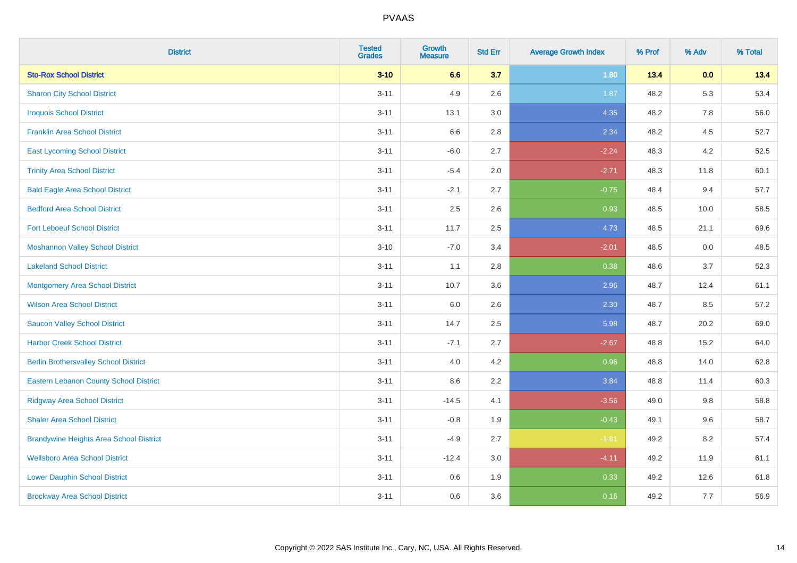| <b>District</b>                                | <b>Tested</b><br><b>Grades</b> | <b>Growth</b><br><b>Measure</b> | <b>Std Err</b> | <b>Average Growth Index</b> | % Prof | % Adv   | % Total |
|------------------------------------------------|--------------------------------|---------------------------------|----------------|-----------------------------|--------|---------|---------|
| <b>Sto-Rox School District</b>                 | $3 - 10$                       | 6.6                             | 3.7            | 1.80                        | 13.4   | 0.0     | 13.4    |
| <b>Sharon City School District</b>             | $3 - 11$                       | 4.9                             | 2.6            | 1.87                        | 48.2   | 5.3     | 53.4    |
| <b>Iroquois School District</b>                | $3 - 11$                       | 13.1                            | 3.0            | 4.35                        | 48.2   | 7.8     | 56.0    |
| <b>Franklin Area School District</b>           | $3 - 11$                       | 6.6                             | 2.8            | 2.34                        | 48.2   | 4.5     | 52.7    |
| <b>East Lycoming School District</b>           | $3 - 11$                       | $-6.0$                          | 2.7            | $-2.24$                     | 48.3   | 4.2     | 52.5    |
| <b>Trinity Area School District</b>            | $3 - 11$                       | $-5.4$                          | 2.0            | $-2.71$                     | 48.3   | 11.8    | 60.1    |
| <b>Bald Eagle Area School District</b>         | $3 - 11$                       | $-2.1$                          | 2.7            | $-0.75$                     | 48.4   | 9.4     | 57.7    |
| <b>Bedford Area School District</b>            | $3 - 11$                       | 2.5                             | 2.6            | 0.93                        | 48.5   | 10.0    | 58.5    |
| <b>Fort Leboeuf School District</b>            | $3 - 11$                       | 11.7                            | 2.5            | 4.73                        | 48.5   | 21.1    | 69.6    |
| <b>Moshannon Valley School District</b>        | $3 - 10$                       | $-7.0$                          | 3.4            | $-2.01$                     | 48.5   | $0.0\,$ | 48.5    |
| <b>Lakeland School District</b>                | $3 - 11$                       | 1.1                             | 2.8            | 0.38                        | 48.6   | 3.7     | 52.3    |
| Montgomery Area School District                | $3 - 11$                       | 10.7                            | 3.6            | 2.96                        | 48.7   | 12.4    | 61.1    |
| <b>Wilson Area School District</b>             | $3 - 11$                       | 6.0                             | 2.6            | 2.30                        | 48.7   | 8.5     | 57.2    |
| <b>Saucon Valley School District</b>           | $3 - 11$                       | 14.7                            | 2.5            | 5.98                        | 48.7   | 20.2    | 69.0    |
| <b>Harbor Creek School District</b>            | $3 - 11$                       | $-7.1$                          | 2.7            | $-2.67$                     | 48.8   | 15.2    | 64.0    |
| <b>Berlin Brothersvalley School District</b>   | $3 - 11$                       | 4.0                             | 4.2            | 0.96                        | 48.8   | 14.0    | 62.8    |
| <b>Eastern Lebanon County School District</b>  | $3 - 11$                       | 8.6                             | 2.2            | 3.84                        | 48.8   | 11.4    | 60.3    |
| <b>Ridgway Area School District</b>            | $3 - 11$                       | $-14.5$                         | 4.1            | $-3.56$                     | 49.0   | 9.8     | 58.8    |
| <b>Shaler Area School District</b>             | $3 - 11$                       | $-0.8$                          | 1.9            | $-0.43$                     | 49.1   | 9.6     | 58.7    |
| <b>Brandywine Heights Area School District</b> | $3 - 11$                       | $-4.9$                          | 2.7            | $-1.81$                     | 49.2   | 8.2     | 57.4    |
| <b>Wellsboro Area School District</b>          | $3 - 11$                       | $-12.4$                         | 3.0            | $-4.11$                     | 49.2   | 11.9    | 61.1    |
| <b>Lower Dauphin School District</b>           | $3 - 11$                       | 0.6                             | 1.9            | 0.33                        | 49.2   | 12.6    | 61.8    |
| <b>Brockway Area School District</b>           | $3 - 11$                       | 0.6                             | 3.6            | 0.16                        | 49.2   | 7.7     | 56.9    |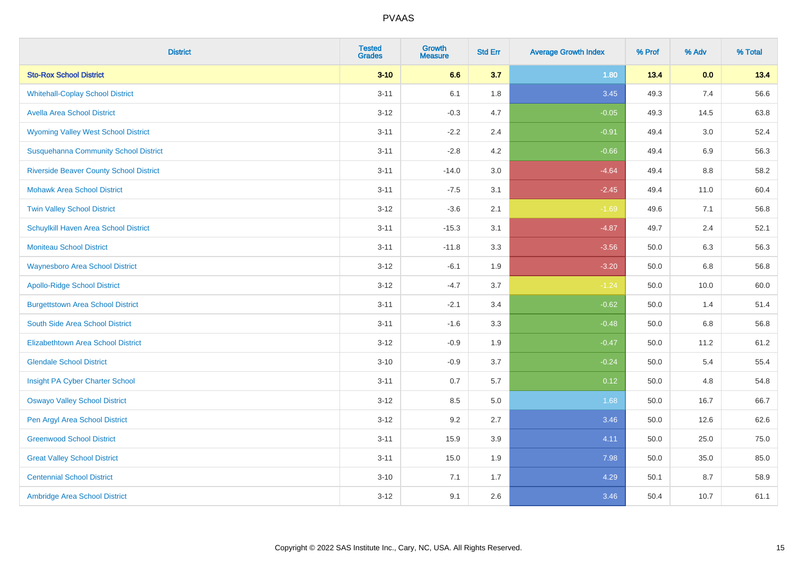| <b>District</b>                                | <b>Tested</b><br><b>Grades</b> | <b>Growth</b><br><b>Measure</b> | <b>Std Err</b> | <b>Average Growth Index</b> | % Prof | % Adv | % Total |
|------------------------------------------------|--------------------------------|---------------------------------|----------------|-----------------------------|--------|-------|---------|
| <b>Sto-Rox School District</b>                 | $3 - 10$                       | 6.6                             | 3.7            | 1.80                        | 13.4   | 0.0   | 13.4    |
| <b>Whitehall-Coplay School District</b>        | $3 - 11$                       | 6.1                             | 1.8            | 3.45                        | 49.3   | 7.4   | 56.6    |
| <b>Avella Area School District</b>             | $3 - 12$                       | $-0.3$                          | 4.7            | $-0.05$                     | 49.3   | 14.5  | 63.8    |
| <b>Wyoming Valley West School District</b>     | $3 - 11$                       | $-2.2$                          | 2.4            | $-0.91$                     | 49.4   | 3.0   | 52.4    |
| <b>Susquehanna Community School District</b>   | $3 - 11$                       | $-2.8$                          | 4.2            | $-0.66$                     | 49.4   | 6.9   | 56.3    |
| <b>Riverside Beaver County School District</b> | $3 - 11$                       | $-14.0$                         | 3.0            | $-4.64$                     | 49.4   | 8.8   | 58.2    |
| <b>Mohawk Area School District</b>             | $3 - 11$                       | $-7.5$                          | 3.1            | $-2.45$                     | 49.4   | 11.0  | 60.4    |
| <b>Twin Valley School District</b>             | $3 - 12$                       | $-3.6$                          | 2.1            | $-1.69$                     | 49.6   | 7.1   | 56.8    |
| Schuylkill Haven Area School District          | $3 - 11$                       | $-15.3$                         | 3.1            | $-4.87$                     | 49.7   | 2.4   | 52.1    |
| <b>Moniteau School District</b>                | $3 - 11$                       | $-11.8$                         | 3.3            | $-3.56$                     | 50.0   | 6.3   | 56.3    |
| <b>Waynesboro Area School District</b>         | $3 - 12$                       | $-6.1$                          | 1.9            | $-3.20$                     | 50.0   | 6.8   | 56.8    |
| <b>Apollo-Ridge School District</b>            | $3 - 12$                       | $-4.7$                          | 3.7            | $-1.24$                     | 50.0   | 10.0  | 60.0    |
| <b>Burgettstown Area School District</b>       | $3 - 11$                       | $-2.1$                          | 3.4            | $-0.62$                     | 50.0   | 1.4   | 51.4    |
| South Side Area School District                | $3 - 11$                       | $-1.6$                          | 3.3            | $-0.48$                     | 50.0   | 6.8   | 56.8    |
| <b>Elizabethtown Area School District</b>      | $3 - 12$                       | $-0.9$                          | 1.9            | $-0.47$                     | 50.0   | 11.2  | 61.2    |
| <b>Glendale School District</b>                | $3 - 10$                       | $-0.9$                          | 3.7            | $-0.24$                     | 50.0   | 5.4   | 55.4    |
| Insight PA Cyber Charter School                | $3 - 11$                       | 0.7                             | 5.7            | 0.12                        | 50.0   | 4.8   | 54.8    |
| <b>Oswayo Valley School District</b>           | $3 - 12$                       | 8.5                             | 5.0            | 1.68                        | 50.0   | 16.7  | 66.7    |
| Pen Argyl Area School District                 | $3 - 12$                       | 9.2                             | 2.7            | 3.46                        | 50.0   | 12.6  | 62.6    |
| <b>Greenwood School District</b>               | $3 - 11$                       | 15.9                            | 3.9            | 4.11                        | 50.0   | 25.0  | 75.0    |
| <b>Great Valley School District</b>            | $3 - 11$                       | 15.0                            | 1.9            | 7.98                        | 50.0   | 35.0  | 85.0    |
| <b>Centennial School District</b>              | $3 - 10$                       | 7.1                             | 1.7            | 4.29                        | 50.1   | 8.7   | 58.9    |
| Ambridge Area School District                  | $3 - 12$                       | 9.1                             | 2.6            | 3.46                        | 50.4   | 10.7  | 61.1    |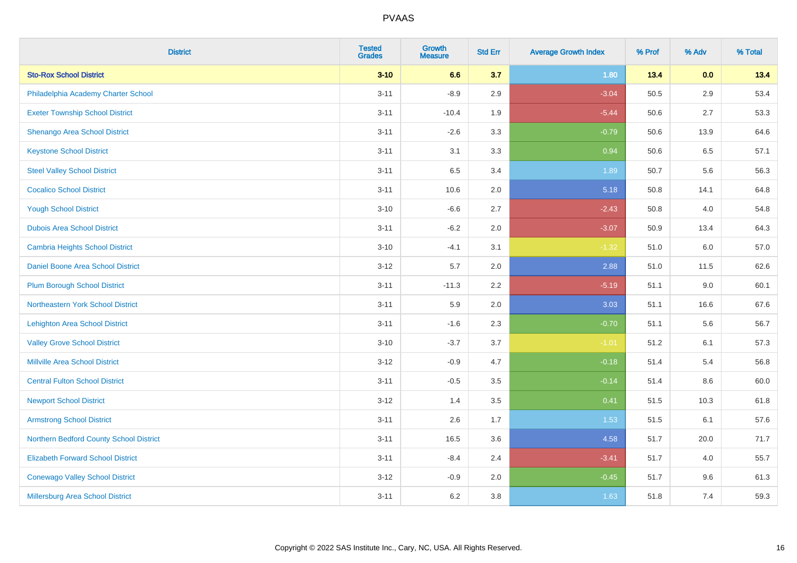| <b>District</b>                          | <b>Tested</b><br><b>Grades</b> | <b>Growth</b><br><b>Measure</b> | <b>Std Err</b> | <b>Average Growth Index</b> | % Prof | % Adv   | % Total |
|------------------------------------------|--------------------------------|---------------------------------|----------------|-----------------------------|--------|---------|---------|
| <b>Sto-Rox School District</b>           | $3 - 10$                       | 6.6                             | 3.7            | 1.80                        | 13.4   | 0.0     | 13.4    |
| Philadelphia Academy Charter School      | $3 - 11$                       | $-8.9$                          | 2.9            | $-3.04$                     | 50.5   | $2.9\,$ | 53.4    |
| <b>Exeter Township School District</b>   | $3 - 11$                       | $-10.4$                         | 1.9            | $-5.44$                     | 50.6   | 2.7     | 53.3    |
| Shenango Area School District            | $3 - 11$                       | $-2.6$                          | 3.3            | $-0.79$                     | 50.6   | 13.9    | 64.6    |
| <b>Keystone School District</b>          | $3 - 11$                       | 3.1                             | 3.3            | 0.94                        | 50.6   | 6.5     | 57.1    |
| <b>Steel Valley School District</b>      | $3 - 11$                       | 6.5                             | 3.4            | 1.89                        | 50.7   | 5.6     | 56.3    |
| <b>Cocalico School District</b>          | $3 - 11$                       | 10.6                            | 2.0            | 5.18                        | 50.8   | 14.1    | 64.8    |
| <b>Yough School District</b>             | $3 - 10$                       | $-6.6$                          | 2.7            | $-2.43$                     | 50.8   | 4.0     | 54.8    |
| <b>Dubois Area School District</b>       | $3 - 11$                       | $-6.2$                          | 2.0            | $-3.07$                     | 50.9   | 13.4    | 64.3    |
| <b>Cambria Heights School District</b>   | $3 - 10$                       | $-4.1$                          | 3.1            | $-1.32$                     | 51.0   | 6.0     | 57.0    |
| Daniel Boone Area School District        | $3 - 12$                       | 5.7                             | 2.0            | 2.88                        | 51.0   | 11.5    | 62.6    |
| <b>Plum Borough School District</b>      | $3 - 11$                       | $-11.3$                         | 2.2            | $-5.19$                     | 51.1   | 9.0     | 60.1    |
| Northeastern York School District        | $3 - 11$                       | 5.9                             | 2.0            | 3.03                        | 51.1   | 16.6    | 67.6    |
| <b>Lehighton Area School District</b>    | $3 - 11$                       | $-1.6$                          | 2.3            | $-0.70$                     | 51.1   | 5.6     | 56.7    |
| <b>Valley Grove School District</b>      | $3 - 10$                       | $-3.7$                          | 3.7            | $-1.01$                     | 51.2   | 6.1     | 57.3    |
| <b>Millville Area School District</b>    | $3 - 12$                       | $-0.9$                          | 4.7            | $-0.18$                     | 51.4   | 5.4     | 56.8    |
| <b>Central Fulton School District</b>    | $3 - 11$                       | $-0.5$                          | 3.5            | $-0.14$                     | 51.4   | $8.6\,$ | 60.0    |
| <b>Newport School District</b>           | $3 - 12$                       | 1.4                             | 3.5            | 0.41                        | 51.5   | 10.3    | 61.8    |
| <b>Armstrong School District</b>         | $3 - 11$                       | 2.6                             | 1.7            | 1.53                        | 51.5   | 6.1     | 57.6    |
| Northern Bedford County School District  | $3 - 11$                       | 16.5                            | 3.6            | 4.58                        | 51.7   | 20.0    | 71.7    |
| <b>Elizabeth Forward School District</b> | $3 - 11$                       | $-8.4$                          | 2.4            | $-3.41$                     | 51.7   | 4.0     | 55.7    |
| <b>Conewago Valley School District</b>   | $3 - 12$                       | $-0.9$                          | 2.0            | $-0.45$                     | 51.7   | 9.6     | 61.3    |
| Millersburg Area School District         | $3 - 11$                       | 6.2                             | 3.8            | 1.63                        | 51.8   | 7.4     | 59.3    |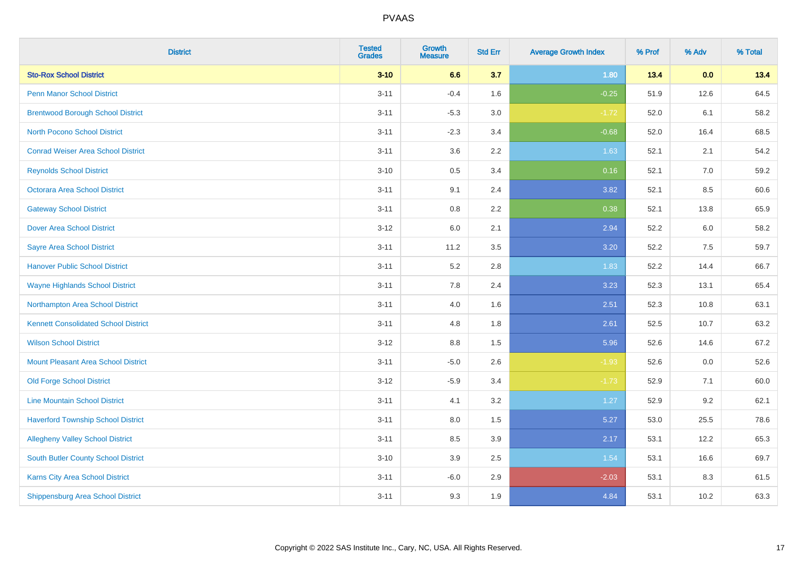| <b>District</b>                             | <b>Tested</b><br><b>Grades</b> | <b>Growth</b><br><b>Measure</b> | <b>Std Err</b> | <b>Average Growth Index</b> | % Prof | % Adv | % Total |
|---------------------------------------------|--------------------------------|---------------------------------|----------------|-----------------------------|--------|-------|---------|
| <b>Sto-Rox School District</b>              | $3 - 10$                       | 6.6                             | 3.7            | 1.80                        | 13.4   | 0.0   | 13.4    |
| <b>Penn Manor School District</b>           | $3 - 11$                       | $-0.4$                          | 1.6            | $-0.25$                     | 51.9   | 12.6  | 64.5    |
| <b>Brentwood Borough School District</b>    | $3 - 11$                       | $-5.3$                          | 3.0            | $-1.72$                     | 52.0   | 6.1   | 58.2    |
| <b>North Pocono School District</b>         | $3 - 11$                       | $-2.3$                          | 3.4            | $-0.68$                     | 52.0   | 16.4  | 68.5    |
| <b>Conrad Weiser Area School District</b>   | $3 - 11$                       | 3.6                             | 2.2            | 1.63                        | 52.1   | 2.1   | 54.2    |
| <b>Reynolds School District</b>             | $3 - 10$                       | 0.5                             | 3.4            | 0.16                        | 52.1   | 7.0   | 59.2    |
| Octorara Area School District               | $3 - 11$                       | 9.1                             | 2.4            | 3.82                        | 52.1   | 8.5   | 60.6    |
| <b>Gateway School District</b>              | $3 - 11$                       | $0.8\,$                         | 2.2            | 0.38                        | 52.1   | 13.8  | 65.9    |
| <b>Dover Area School District</b>           | $3 - 12$                       | 6.0                             | 2.1            | 2.94                        | 52.2   | 6.0   | 58.2    |
| <b>Sayre Area School District</b>           | $3 - 11$                       | 11.2                            | 3.5            | 3.20                        | 52.2   | 7.5   | 59.7    |
| <b>Hanover Public School District</b>       | $3 - 11$                       | 5.2                             | 2.8            | 1.83                        | 52.2   | 14.4  | 66.7    |
| <b>Wayne Highlands School District</b>      | $3 - 11$                       | 7.8                             | 2.4            | 3.23                        | 52.3   | 13.1  | 65.4    |
| Northampton Area School District            | $3 - 11$                       | 4.0                             | 1.6            | 2.51                        | 52.3   | 10.8  | 63.1    |
| <b>Kennett Consolidated School District</b> | $3 - 11$                       | 4.8                             | 1.8            | 2.61                        | 52.5   | 10.7  | 63.2    |
| <b>Wilson School District</b>               | $3 - 12$                       | $8.8\,$                         | 1.5            | 5.96                        | 52.6   | 14.6  | 67.2    |
| <b>Mount Pleasant Area School District</b>  | $3 - 11$                       | $-5.0$                          | 2.6            | $-1.93$                     | 52.6   | 0.0   | 52.6    |
| <b>Old Forge School District</b>            | $3 - 12$                       | $-5.9$                          | 3.4            | $-1.73$                     | 52.9   | 7.1   | 60.0    |
| <b>Line Mountain School District</b>        | $3 - 11$                       | 4.1                             | 3.2            | 1.27                        | 52.9   | 9.2   | 62.1    |
| <b>Haverford Township School District</b>   | $3 - 11$                       | $8.0\,$                         | 1.5            | 5.27                        | 53.0   | 25.5  | 78.6    |
| <b>Allegheny Valley School District</b>     | $3 - 11$                       | 8.5                             | 3.9            | 2.17                        | 53.1   | 12.2  | 65.3    |
| South Butler County School District         | $3 - 10$                       | 3.9                             | 2.5            | 1.54                        | 53.1   | 16.6  | 69.7    |
| Karns City Area School District             | $3 - 11$                       | $-6.0$                          | 2.9            | $-2.03$                     | 53.1   | 8.3   | 61.5    |
| <b>Shippensburg Area School District</b>    | $3 - 11$                       | 9.3                             | 1.9            | 4.84                        | 53.1   | 10.2  | 63.3    |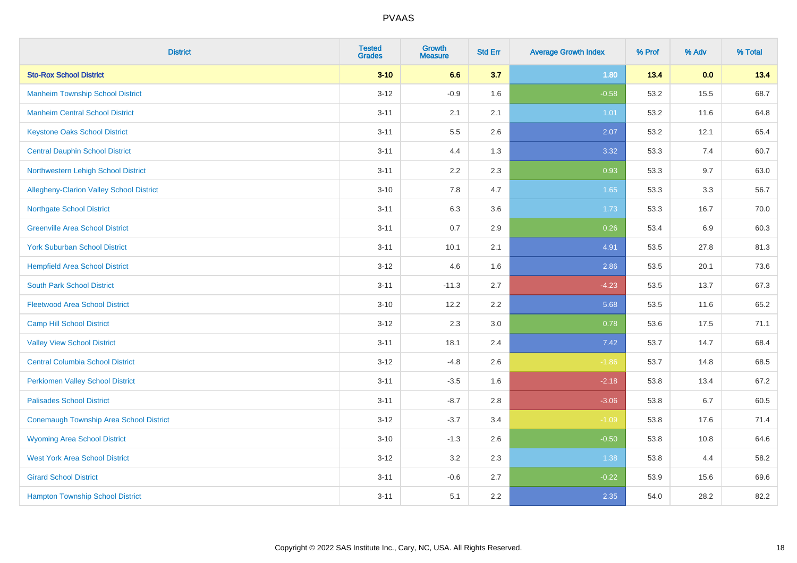| <b>District</b>                                | <b>Tested</b><br><b>Grades</b> | <b>Growth</b><br><b>Measure</b> | <b>Std Err</b> | <b>Average Growth Index</b> | % Prof | % Adv | % Total |
|------------------------------------------------|--------------------------------|---------------------------------|----------------|-----------------------------|--------|-------|---------|
| <b>Sto-Rox School District</b>                 | $3 - 10$                       | 6.6                             | 3.7            | 1.80                        | 13.4   | 0.0   | 13.4    |
| <b>Manheim Township School District</b>        | $3 - 12$                       | $-0.9$                          | 1.6            | $-0.58$                     | 53.2   | 15.5  | 68.7    |
| <b>Manheim Central School District</b>         | $3 - 11$                       | 2.1                             | 2.1            | 1.01                        | 53.2   | 11.6  | 64.8    |
| <b>Keystone Oaks School District</b>           | $3 - 11$                       | $5.5\,$                         | 2.6            | 2.07                        | 53.2   | 12.1  | 65.4    |
| <b>Central Dauphin School District</b>         | $3 - 11$                       | 4.4                             | 1.3            | 3.32                        | 53.3   | 7.4   | 60.7    |
| Northwestern Lehigh School District            | $3 - 11$                       | 2.2                             | 2.3            | 0.93                        | 53.3   | 9.7   | 63.0    |
| Allegheny-Clarion Valley School District       | $3 - 10$                       | 7.8                             | 4.7            | 1.65                        | 53.3   | 3.3   | 56.7    |
| <b>Northgate School District</b>               | $3 - 11$                       | 6.3                             | 3.6            | 1.73                        | 53.3   | 16.7  | 70.0    |
| <b>Greenville Area School District</b>         | $3 - 11$                       | 0.7                             | 2.9            | 0.26                        | 53.4   | 6.9   | 60.3    |
| <b>York Suburban School District</b>           | $3 - 11$                       | 10.1                            | 2.1            | 4.91                        | 53.5   | 27.8  | 81.3    |
| <b>Hempfield Area School District</b>          | $3 - 12$                       | 4.6                             | 1.6            | 2.86                        | 53.5   | 20.1  | 73.6    |
| <b>South Park School District</b>              | $3 - 11$                       | $-11.3$                         | 2.7            | $-4.23$                     | 53.5   | 13.7  | 67.3    |
| <b>Fleetwood Area School District</b>          | $3 - 10$                       | 12.2                            | 2.2            | 5.68                        | 53.5   | 11.6  | 65.2    |
| <b>Camp Hill School District</b>               | $3 - 12$                       | 2.3                             | 3.0            | 0.78                        | 53.6   | 17.5  | 71.1    |
| <b>Valley View School District</b>             | $3 - 11$                       | 18.1                            | 2.4            | 7.42                        | 53.7   | 14.7  | 68.4    |
| <b>Central Columbia School District</b>        | $3 - 12$                       | $-4.8$                          | 2.6            | $-1.86$                     | 53.7   | 14.8  | 68.5    |
| <b>Perkiomen Valley School District</b>        | $3 - 11$                       | $-3.5$                          | 1.6            | $-2.18$                     | 53.8   | 13.4  | 67.2    |
| <b>Palisades School District</b>               | $3 - 11$                       | $-8.7$                          | 2.8            | $-3.06$                     | 53.8   | 6.7   | 60.5    |
| <b>Conemaugh Township Area School District</b> | $3 - 12$                       | $-3.7$                          | 3.4            | $-1.09$                     | 53.8   | 17.6  | 71.4    |
| <b>Wyoming Area School District</b>            | $3 - 10$                       | $-1.3$                          | 2.6            | $-0.50$                     | 53.8   | 10.8  | 64.6    |
| <b>West York Area School District</b>          | $3 - 12$                       | 3.2                             | 2.3            | 1.38                        | 53.8   | 4.4   | 58.2    |
| <b>Girard School District</b>                  | $3 - 11$                       | $-0.6$                          | 2.7            | $-0.22$                     | 53.9   | 15.6  | 69.6    |
| <b>Hampton Township School District</b>        | $3 - 11$                       | 5.1                             | 2.2            | 2.35                        | 54.0   | 28.2  | 82.2    |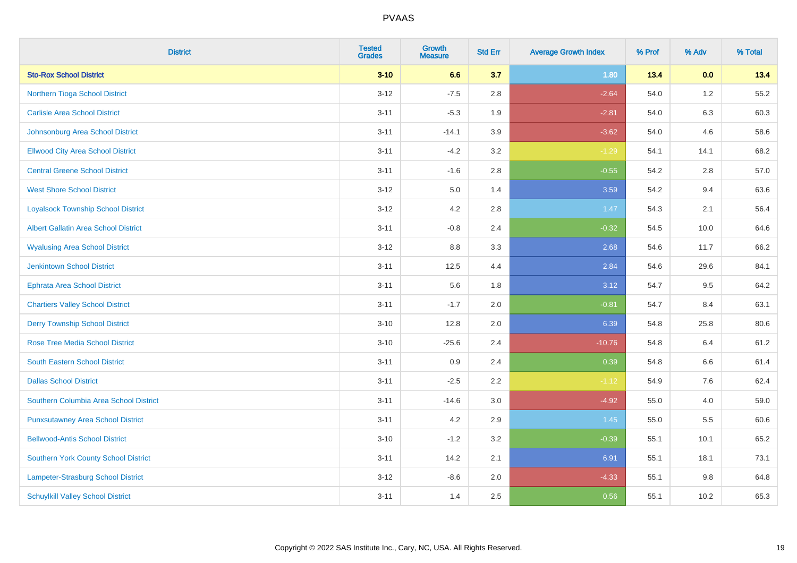| <b>District</b>                             | <b>Tested</b><br><b>Grades</b> | <b>Growth</b><br><b>Measure</b> | <b>Std Err</b> | <b>Average Growth Index</b> | % Prof | % Adv   | % Total |
|---------------------------------------------|--------------------------------|---------------------------------|----------------|-----------------------------|--------|---------|---------|
| <b>Sto-Rox School District</b>              | $3 - 10$                       | 6.6                             | 3.7            | 1.80                        | 13.4   | 0.0     | 13.4    |
| Northern Tioga School District              | $3 - 12$                       | $-7.5$                          | 2.8            | $-2.64$                     | 54.0   | $1.2$   | 55.2    |
| <b>Carlisle Area School District</b>        | $3 - 11$                       | $-5.3$                          | 1.9            | $-2.81$                     | 54.0   | 6.3     | 60.3    |
| Johnsonburg Area School District            | $3 - 11$                       | $-14.1$                         | 3.9            | $-3.62$                     | 54.0   | 4.6     | 58.6    |
| <b>Ellwood City Area School District</b>    | $3 - 11$                       | $-4.2$                          | 3.2            | $-1.29$                     | 54.1   | 14.1    | 68.2    |
| <b>Central Greene School District</b>       | $3 - 11$                       | $-1.6$                          | 2.8            | $-0.55$                     | 54.2   | 2.8     | 57.0    |
| <b>West Shore School District</b>           | $3 - 12$                       | 5.0                             | 1.4            | 3.59                        | 54.2   | 9.4     | 63.6    |
| <b>Loyalsock Township School District</b>   | $3 - 12$                       | 4.2                             | 2.8            | 1.47                        | 54.3   | 2.1     | 56.4    |
| <b>Albert Gallatin Area School District</b> | $3 - 11$                       | $-0.8$                          | 2.4            | $-0.32$                     | 54.5   | 10.0    | 64.6    |
| <b>Wyalusing Area School District</b>       | $3 - 12$                       | 8.8                             | 3.3            | 2.68                        | 54.6   | 11.7    | 66.2    |
| <b>Jenkintown School District</b>           | $3 - 11$                       | 12.5                            | 4.4            | 2.84                        | 54.6   | 29.6    | 84.1    |
| <b>Ephrata Area School District</b>         | $3 - 11$                       | 5.6                             | 1.8            | 3.12                        | 54.7   | 9.5     | 64.2    |
| <b>Chartiers Valley School District</b>     | $3 - 11$                       | $-1.7$                          | 2.0            | $-0.81$                     | 54.7   | 8.4     | 63.1    |
| <b>Derry Township School District</b>       | $3 - 10$                       | 12.8                            | 2.0            | 6.39                        | 54.8   | 25.8    | 80.6    |
| <b>Rose Tree Media School District</b>      | $3 - 10$                       | $-25.6$                         | 2.4            | $-10.76$                    | 54.8   | 6.4     | 61.2    |
| <b>South Eastern School District</b>        | $3 - 11$                       | 0.9                             | 2.4            | 0.39                        | 54.8   | $6.6\,$ | 61.4    |
| <b>Dallas School District</b>               | $3 - 11$                       | $-2.5$                          | 2.2            | $-1.12$                     | 54.9   | 7.6     | 62.4    |
| Southern Columbia Area School District      | $3 - 11$                       | $-14.6$                         | 3.0            | $-4.92$                     | 55.0   | 4.0     | 59.0    |
| <b>Punxsutawney Area School District</b>    | $3 - 11$                       | 4.2                             | 2.9            | 1.45                        | 55.0   | 5.5     | 60.6    |
| <b>Bellwood-Antis School District</b>       | $3 - 10$                       | $-1.2$                          | 3.2            | $-0.39$                     | 55.1   | 10.1    | 65.2    |
| <b>Southern York County School District</b> | $3 - 11$                       | 14.2                            | 2.1            | 6.91                        | 55.1   | 18.1    | 73.1    |
| Lampeter-Strasburg School District          | $3 - 12$                       | $-8.6$                          | 2.0            | $-4.33$                     | 55.1   | 9.8     | 64.8    |
| <b>Schuylkill Valley School District</b>    | $3 - 11$                       | 1.4                             | 2.5            | 0.56                        | 55.1   | 10.2    | 65.3    |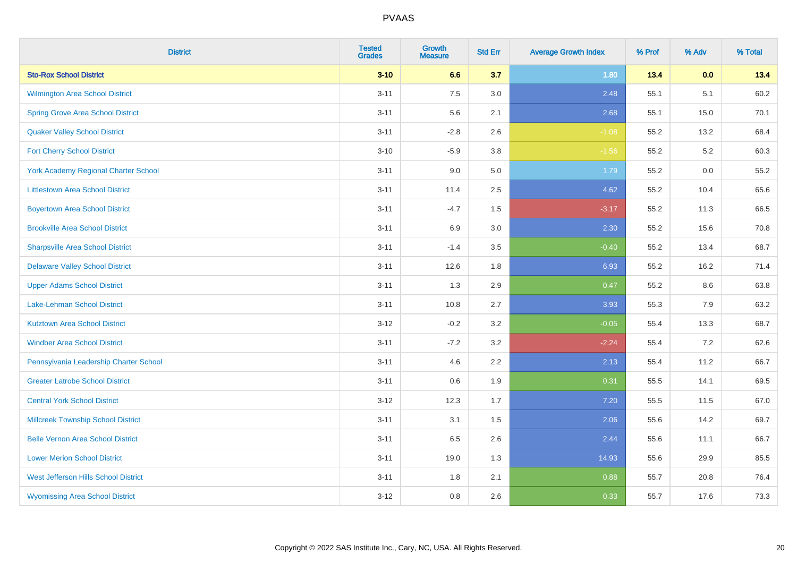| <b>District</b>                             | <b>Tested</b><br><b>Grades</b> | <b>Growth</b><br><b>Measure</b> | <b>Std Err</b> | <b>Average Growth Index</b> | % Prof | % Adv | % Total |
|---------------------------------------------|--------------------------------|---------------------------------|----------------|-----------------------------|--------|-------|---------|
| <b>Sto-Rox School District</b>              | $3 - 10$                       | 6.6                             | 3.7            | 1.80                        | 13.4   | 0.0   | 13.4    |
| Wilmington Area School District             | $3 - 11$                       | 7.5                             | 3.0            | 2.48                        | 55.1   | 5.1   | 60.2    |
| <b>Spring Grove Area School District</b>    | $3 - 11$                       | 5.6                             | 2.1            | 2.68                        | 55.1   | 15.0  | 70.1    |
| <b>Quaker Valley School District</b>        | $3 - 11$                       | $-2.8$                          | 2.6            | $-1.08$                     | 55.2   | 13.2  | 68.4    |
| <b>Fort Cherry School District</b>          | $3 - 10$                       | $-5.9$                          | 3.8            | $-1.56$                     | 55.2   | 5.2   | 60.3    |
| <b>York Academy Regional Charter School</b> | $3 - 11$                       | 9.0                             | 5.0            | 1.79                        | 55.2   | 0.0   | 55.2    |
| <b>Littlestown Area School District</b>     | $3 - 11$                       | 11.4                            | 2.5            | 4.62                        | 55.2   | 10.4  | 65.6    |
| <b>Boyertown Area School District</b>       | $3 - 11$                       | $-4.7$                          | 1.5            | $-3.17$                     | 55.2   | 11.3  | 66.5    |
| <b>Brookville Area School District</b>      | $3 - 11$                       | 6.9                             | 3.0            | 2.30                        | 55.2   | 15.6  | 70.8    |
| <b>Sharpsville Area School District</b>     | $3 - 11$                       | $-1.4$                          | 3.5            | $-0.40$                     | 55.2   | 13.4  | 68.7    |
| <b>Delaware Valley School District</b>      | $3 - 11$                       | 12.6                            | 1.8            | 6.93                        | 55.2   | 16.2  | 71.4    |
| <b>Upper Adams School District</b>          | $3 - 11$                       | 1.3                             | 2.9            | 0.47                        | 55.2   | 8.6   | 63.8    |
| Lake-Lehman School District                 | $3 - 11$                       | 10.8                            | 2.7            | 3.93                        | 55.3   | 7.9   | 63.2    |
| <b>Kutztown Area School District</b>        | $3 - 12$                       | $-0.2$                          | 3.2            | $-0.05$                     | 55.4   | 13.3  | 68.7    |
| <b>Windber Area School District</b>         | $3 - 11$                       | $-7.2$                          | 3.2            | $-2.24$                     | 55.4   | 7.2   | 62.6    |
| Pennsylvania Leadership Charter School      | $3 - 11$                       | 4.6                             | 2.2            | 2.13                        | 55.4   | 11.2  | 66.7    |
| <b>Greater Latrobe School District</b>      | $3 - 11$                       | 0.6                             | 1.9            | 0.31                        | 55.5   | 14.1  | 69.5    |
| <b>Central York School District</b>         | $3 - 12$                       | 12.3                            | 1.7            | 7.20                        | 55.5   | 11.5  | 67.0    |
| <b>Millcreek Township School District</b>   | $3 - 11$                       | 3.1                             | $1.5\,$        | 2.06                        | 55.6   | 14.2  | 69.7    |
| <b>Belle Vernon Area School District</b>    | $3 - 11$                       | 6.5                             | 2.6            | 2.44                        | 55.6   | 11.1  | 66.7    |
| <b>Lower Merion School District</b>         | $3 - 11$                       | 19.0                            | 1.3            | 14.93                       | 55.6   | 29.9  | 85.5    |
| West Jefferson Hills School District        | $3 - 11$                       | 1.8                             | 2.1            | 0.88                        | 55.7   | 20.8  | 76.4    |
| <b>Wyomissing Area School District</b>      | $3 - 12$                       | 0.8                             | 2.6            | 0.33                        | 55.7   | 17.6  | 73.3    |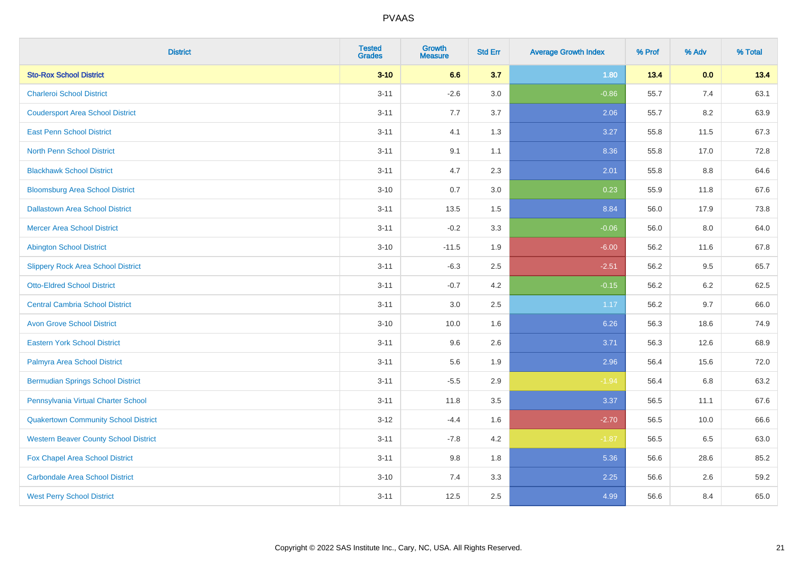| <b>District</b>                              | <b>Tested</b><br><b>Grades</b> | <b>Growth</b><br><b>Measure</b> | <b>Std Err</b> | <b>Average Growth Index</b> | % Prof | % Adv   | % Total |
|----------------------------------------------|--------------------------------|---------------------------------|----------------|-----------------------------|--------|---------|---------|
| <b>Sto-Rox School District</b>               | $3 - 10$                       | 6.6                             | 3.7            | 1.80                        | 13.4   | 0.0     | 13.4    |
| <b>Charleroi School District</b>             | $3 - 11$                       | $-2.6$                          | 3.0            | $-0.86$                     | 55.7   | 7.4     | 63.1    |
| <b>Coudersport Area School District</b>      | $3 - 11$                       | 7.7                             | 3.7            | 2.06                        | 55.7   | 8.2     | 63.9    |
| <b>East Penn School District</b>             | $3 - 11$                       | 4.1                             | 1.3            | 3.27                        | 55.8   | 11.5    | 67.3    |
| <b>North Penn School District</b>            | $3 - 11$                       | 9.1                             | 1.1            | 8.36                        | 55.8   | 17.0    | 72.8    |
| <b>Blackhawk School District</b>             | $3 - 11$                       | 4.7                             | 2.3            | 2.01                        | 55.8   | 8.8     | 64.6    |
| <b>Bloomsburg Area School District</b>       | $3 - 10$                       | 0.7                             | 3.0            | 0.23                        | 55.9   | 11.8    | 67.6    |
| <b>Dallastown Area School District</b>       | $3 - 11$                       | 13.5                            | 1.5            | 8.84                        | 56.0   | 17.9    | 73.8    |
| <b>Mercer Area School District</b>           | $3 - 11$                       | $-0.2$                          | 3.3            | $-0.06$                     | 56.0   | 8.0     | 64.0    |
| <b>Abington School District</b>              | $3 - 10$                       | $-11.5$                         | 1.9            | $-6.00$                     | 56.2   | 11.6    | 67.8    |
| <b>Slippery Rock Area School District</b>    | $3 - 11$                       | $-6.3$                          | 2.5            | $-2.51$                     | 56.2   | 9.5     | 65.7    |
| <b>Otto-Eldred School District</b>           | $3 - 11$                       | $-0.7$                          | 4.2            | $-0.15$                     | 56.2   | 6.2     | 62.5    |
| <b>Central Cambria School District</b>       | $3 - 11$                       | $3.0\,$                         | 2.5            | 1.17                        | 56.2   | 9.7     | 66.0    |
| <b>Avon Grove School District</b>            | $3 - 10$                       | 10.0                            | 1.6            | 6.26                        | 56.3   | 18.6    | 74.9    |
| <b>Eastern York School District</b>          | $3 - 11$                       | 9.6                             | 2.6            | 3.71                        | 56.3   | 12.6    | 68.9    |
| Palmyra Area School District                 | $3 - 11$                       | 5.6                             | 1.9            | 2.96                        | 56.4   | 15.6    | 72.0    |
| <b>Bermudian Springs School District</b>     | $3 - 11$                       | $-5.5$                          | 2.9            | $-1.94$                     | 56.4   | $6.8\,$ | 63.2    |
| Pennsylvania Virtual Charter School          | $3 - 11$                       | 11.8                            | 3.5            | 3.37                        | 56.5   | 11.1    | 67.6    |
| <b>Quakertown Community School District</b>  | $3 - 12$                       | $-4.4$                          | 1.6            | $-2.70$                     | 56.5   | 10.0    | 66.6    |
| <b>Western Beaver County School District</b> | $3 - 11$                       | $-7.8$                          | 4.2            | $-1.87$                     | 56.5   | 6.5     | 63.0    |
| Fox Chapel Area School District              | $3 - 11$                       | 9.8                             | 1.8            | 5.36                        | 56.6   | 28.6    | 85.2    |
| <b>Carbondale Area School District</b>       | $3 - 10$                       | 7.4                             | 3.3            | 2.25                        | 56.6   | 2.6     | 59.2    |
| <b>West Perry School District</b>            | $3 - 11$                       | 12.5                            | 2.5            | 4.99                        | 56.6   | 8.4     | 65.0    |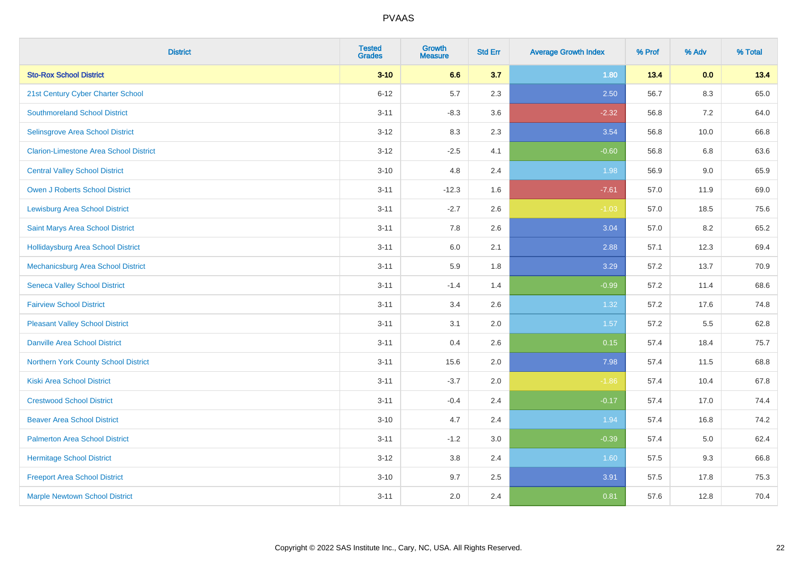| <b>District</b>                               | <b>Tested</b><br><b>Grades</b> | <b>Growth</b><br><b>Measure</b> | <b>Std Err</b> | <b>Average Growth Index</b> | % Prof | % Adv   | % Total |
|-----------------------------------------------|--------------------------------|---------------------------------|----------------|-----------------------------|--------|---------|---------|
| <b>Sto-Rox School District</b>                | $3 - 10$                       | 6.6                             | 3.7            | 1.80                        | 13.4   | 0.0     | 13.4    |
| 21st Century Cyber Charter School             | $6 - 12$                       | 5.7                             | 2.3            | 2.50                        | 56.7   | $8.3\,$ | 65.0    |
| <b>Southmoreland School District</b>          | $3 - 11$                       | $-8.3$                          | 3.6            | $-2.32$                     | 56.8   | 7.2     | 64.0    |
| Selinsgrove Area School District              | $3 - 12$                       | 8.3                             | 2.3            | 3.54                        | 56.8   | 10.0    | 66.8    |
| <b>Clarion-Limestone Area School District</b> | $3 - 12$                       | $-2.5$                          | 4.1            | $-0.60$                     | 56.8   | 6.8     | 63.6    |
| <b>Central Valley School District</b>         | $3 - 10$                       | 4.8                             | 2.4            | 1.98                        | 56.9   | 9.0     | 65.9    |
| Owen J Roberts School District                | $3 - 11$                       | $-12.3$                         | 1.6            | $-7.61$                     | 57.0   | 11.9    | 69.0    |
| <b>Lewisburg Area School District</b>         | $3 - 11$                       | $-2.7$                          | 2.6            | $-1.03$                     | 57.0   | 18.5    | 75.6    |
| Saint Marys Area School District              | $3 - 11$                       | 7.8                             | 2.6            | 3.04                        | 57.0   | 8.2     | 65.2    |
| <b>Hollidaysburg Area School District</b>     | $3 - 11$                       | 6.0                             | 2.1            | 2.88                        | 57.1   | 12.3    | 69.4    |
| Mechanicsburg Area School District            | $3 - 11$                       | 5.9                             | 1.8            | 3.29                        | 57.2   | 13.7    | 70.9    |
| <b>Seneca Valley School District</b>          | $3 - 11$                       | $-1.4$                          | 1.4            | $-0.99$                     | 57.2   | 11.4    | 68.6    |
| <b>Fairview School District</b>               | $3 - 11$                       | 3.4                             | 2.6            | 1.32                        | 57.2   | 17.6    | 74.8    |
| <b>Pleasant Valley School District</b>        | $3 - 11$                       | 3.1                             | 2.0            | 1.57                        | 57.2   | 5.5     | 62.8    |
| <b>Danville Area School District</b>          | $3 - 11$                       | 0.4                             | 2.6            | 0.15                        | 57.4   | 18.4    | 75.7    |
| Northern York County School District          | $3 - 11$                       | 15.6                            | 2.0            | 7.98                        | 57.4   | 11.5    | 68.8    |
| <b>Kiski Area School District</b>             | $3 - 11$                       | $-3.7$                          | 2.0            | $-1.86$                     | 57.4   | 10.4    | 67.8    |
| <b>Crestwood School District</b>              | $3 - 11$                       | $-0.4$                          | 2.4            | $-0.17$                     | 57.4   | 17.0    | 74.4    |
| <b>Beaver Area School District</b>            | $3 - 10$                       | 4.7                             | 2.4            | 1.94                        | 57.4   | 16.8    | 74.2    |
| <b>Palmerton Area School District</b>         | $3 - 11$                       | $-1.2$                          | 3.0            | $-0.39$                     | 57.4   | 5.0     | 62.4    |
| <b>Hermitage School District</b>              | $3 - 12$                       | 3.8                             | 2.4            | 1.60                        | 57.5   | 9.3     | 66.8    |
| <b>Freeport Area School District</b>          | $3 - 10$                       | 9.7                             | 2.5            | 3.91                        | 57.5   | 17.8    | 75.3    |
| <b>Marple Newtown School District</b>         | $3 - 11$                       | 2.0                             | 2.4            | 0.81                        | 57.6   | 12.8    | 70.4    |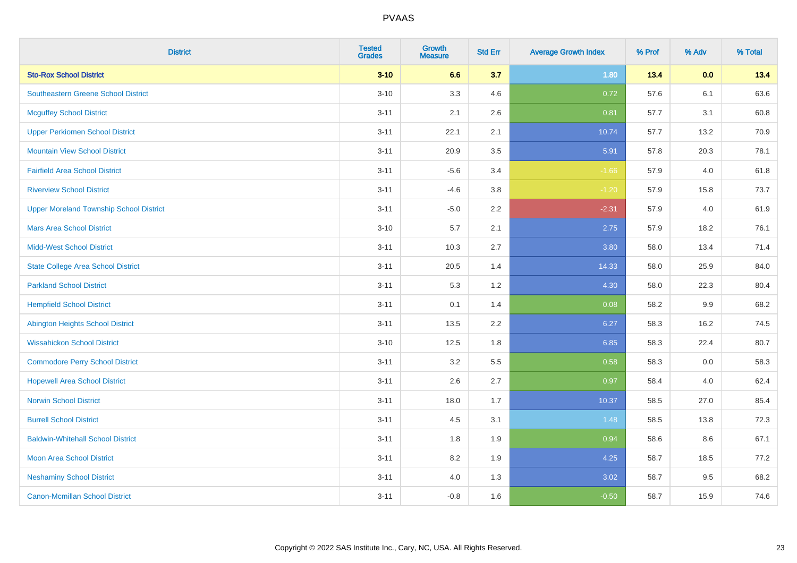| <b>District</b>                                | <b>Tested</b><br><b>Grades</b> | <b>Growth</b><br><b>Measure</b> | <b>Std Err</b> | <b>Average Growth Index</b> | % Prof | % Adv | % Total |
|------------------------------------------------|--------------------------------|---------------------------------|----------------|-----------------------------|--------|-------|---------|
| <b>Sto-Rox School District</b>                 | $3 - 10$                       | 6.6                             | 3.7            | 1.80                        | 13.4   | 0.0   | 13.4    |
| <b>Southeastern Greene School District</b>     | $3 - 10$                       | 3.3                             | 4.6            | 0.72                        | 57.6   | 6.1   | 63.6    |
| <b>Mcguffey School District</b>                | $3 - 11$                       | 2.1                             | 2.6            | 0.81                        | 57.7   | 3.1   | 60.8    |
| <b>Upper Perkiomen School District</b>         | $3 - 11$                       | 22.1                            | 2.1            | 10.74                       | 57.7   | 13.2  | 70.9    |
| <b>Mountain View School District</b>           | $3 - 11$                       | 20.9                            | 3.5            | 5.91                        | 57.8   | 20.3  | 78.1    |
| <b>Fairfield Area School District</b>          | $3 - 11$                       | $-5.6$                          | 3.4            | $-1.66$                     | 57.9   | 4.0   | 61.8    |
| <b>Riverview School District</b>               | $3 - 11$                       | $-4.6$                          | 3.8            | $-1.20$                     | 57.9   | 15.8  | 73.7    |
| <b>Upper Moreland Township School District</b> | $3 - 11$                       | $-5.0$                          | 2.2            | $-2.31$                     | 57.9   | 4.0   | 61.9    |
| <b>Mars Area School District</b>               | $3 - 10$                       | $5.7\,$                         | 2.1            | 2.75                        | 57.9   | 18.2  | 76.1    |
| <b>Midd-West School District</b>               | $3 - 11$                       | 10.3                            | 2.7            | 3.80                        | 58.0   | 13.4  | 71.4    |
| <b>State College Area School District</b>      | $3 - 11$                       | 20.5                            | 1.4            | 14.33                       | 58.0   | 25.9  | 84.0    |
| <b>Parkland School District</b>                | $3 - 11$                       | 5.3                             | 1.2            | 4.30                        | 58.0   | 22.3  | 80.4    |
| <b>Hempfield School District</b>               | $3 - 11$                       | 0.1                             | 1.4            | 0.08                        | 58.2   | 9.9   | 68.2    |
| <b>Abington Heights School District</b>        | $3 - 11$                       | 13.5                            | 2.2            | 6.27                        | 58.3   | 16.2  | 74.5    |
| <b>Wissahickon School District</b>             | $3 - 10$                       | 12.5                            | 1.8            | 6.85                        | 58.3   | 22.4  | 80.7    |
| <b>Commodore Perry School District</b>         | $3 - 11$                       | 3.2                             | 5.5            | 0.58                        | 58.3   | 0.0   | 58.3    |
| <b>Hopewell Area School District</b>           | $3 - 11$                       | 2.6                             | 2.7            | 0.97                        | 58.4   | 4.0   | 62.4    |
| <b>Norwin School District</b>                  | $3 - 11$                       | 18.0                            | 1.7            | 10.37                       | 58.5   | 27.0  | 85.4    |
| <b>Burrell School District</b>                 | $3 - 11$                       | 4.5                             | 3.1            | 1.48                        | 58.5   | 13.8  | 72.3    |
| <b>Baldwin-Whitehall School District</b>       | $3 - 11$                       | 1.8                             | 1.9            | 0.94                        | 58.6   | 8.6   | 67.1    |
| <b>Moon Area School District</b>               | $3 - 11$                       | 8.2                             | 1.9            | 4.25                        | 58.7   | 18.5  | 77.2    |
| <b>Neshaminy School District</b>               | $3 - 11$                       | 4.0                             | 1.3            | 3.02                        | 58.7   | 9.5   | 68.2    |
| <b>Canon-Mcmillan School District</b>          | $3 - 11$                       | $-0.8$                          | 1.6            | $-0.50$                     | 58.7   | 15.9  | 74.6    |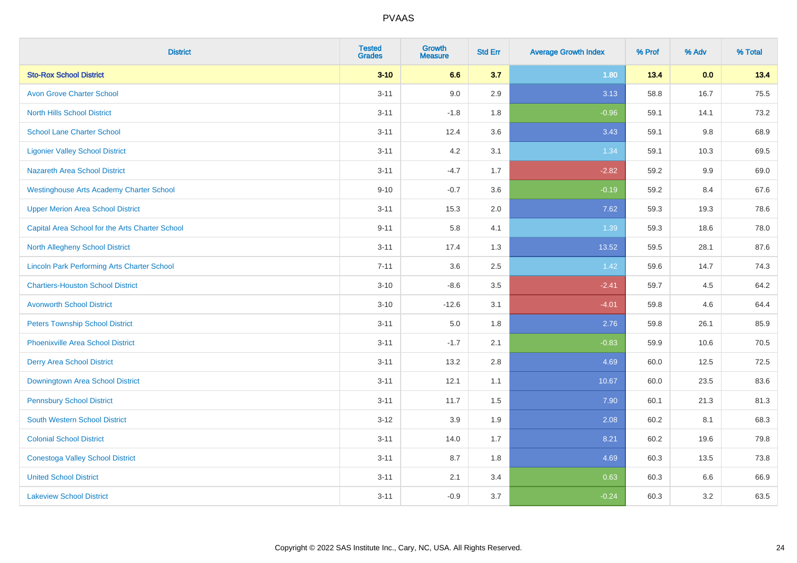| <b>District</b>                                    | <b>Tested</b><br><b>Grades</b> | <b>Growth</b><br><b>Measure</b> | <b>Std Err</b> | <b>Average Growth Index</b> | % Prof | % Adv   | % Total |
|----------------------------------------------------|--------------------------------|---------------------------------|----------------|-----------------------------|--------|---------|---------|
| <b>Sto-Rox School District</b>                     | $3 - 10$                       | 6.6                             | 3.7            | 1.80                        | 13.4   | 0.0     | 13.4    |
| <b>Avon Grove Charter School</b>                   | $3 - 11$                       | 9.0                             | 2.9            | 3.13                        | 58.8   | 16.7    | 75.5    |
| <b>North Hills School District</b>                 | $3 - 11$                       | $-1.8$                          | 1.8            | $-0.96$                     | 59.1   | 14.1    | 73.2    |
| <b>School Lane Charter School</b>                  | $3 - 11$                       | 12.4                            | 3.6            | 3.43                        | 59.1   | $9.8\,$ | 68.9    |
| <b>Ligonier Valley School District</b>             | $3 - 11$                       | 4.2                             | 3.1            | 1.34                        | 59.1   | 10.3    | 69.5    |
| <b>Nazareth Area School District</b>               | $3 - 11$                       | $-4.7$                          | 1.7            | $-2.82$                     | 59.2   | 9.9     | 69.0    |
| <b>Westinghouse Arts Academy Charter School</b>    | $9 - 10$                       | $-0.7$                          | 3.6            | $-0.19$                     | 59.2   | 8.4     | 67.6    |
| <b>Upper Merion Area School District</b>           | $3 - 11$                       | 15.3                            | 2.0            | 7.62                        | 59.3   | 19.3    | 78.6    |
| Capital Area School for the Arts Charter School    | $9 - 11$                       | 5.8                             | 4.1            | 1.39                        | 59.3   | 18.6    | 78.0    |
| North Allegheny School District                    | $3 - 11$                       | 17.4                            | 1.3            | 13.52                       | 59.5   | 28.1    | 87.6    |
| <b>Lincoln Park Performing Arts Charter School</b> | $7 - 11$                       | 3.6                             | 2.5            | 1.42                        | 59.6   | 14.7    | 74.3    |
| <b>Chartiers-Houston School District</b>           | $3 - 10$                       | $-8.6$                          | 3.5            | $-2.41$                     | 59.7   | 4.5     | 64.2    |
| <b>Avonworth School District</b>                   | $3 - 10$                       | $-12.6$                         | 3.1            | $-4.01$                     | 59.8   | 4.6     | 64.4    |
| <b>Peters Township School District</b>             | $3 - 11$                       | 5.0                             | 1.8            | 2.76                        | 59.8   | 26.1    | 85.9    |
| <b>Phoenixville Area School District</b>           | $3 - 11$                       | $-1.7$                          | 2.1            | $-0.83$                     | 59.9   | 10.6    | 70.5    |
| <b>Derry Area School District</b>                  | $3 - 11$                       | 13.2                            | 2.8            | 4.69                        | 60.0   | 12.5    | 72.5    |
| Downingtown Area School District                   | $3 - 11$                       | 12.1                            | 1.1            | 10.67                       | 60.0   | 23.5    | 83.6    |
| <b>Pennsbury School District</b>                   | $3 - 11$                       | 11.7                            | 1.5            | 7.90                        | 60.1   | 21.3    | 81.3    |
| <b>South Western School District</b>               | $3 - 12$                       | 3.9                             | 1.9            | 2.08                        | 60.2   | 8.1     | 68.3    |
| <b>Colonial School District</b>                    | $3 - 11$                       | 14.0                            | 1.7            | 8.21                        | 60.2   | 19.6    | 79.8    |
| <b>Conestoga Valley School District</b>            | $3 - 11$                       | 8.7                             | 1.8            | 4.69                        | 60.3   | 13.5    | 73.8    |
| <b>United School District</b>                      | $3 - 11$                       | 2.1                             | 3.4            | 0.63                        | 60.3   | 6.6     | 66.9    |
| <b>Lakeview School District</b>                    | $3 - 11$                       | $-0.9$                          | 3.7            | $-0.24$                     | 60.3   | 3.2     | 63.5    |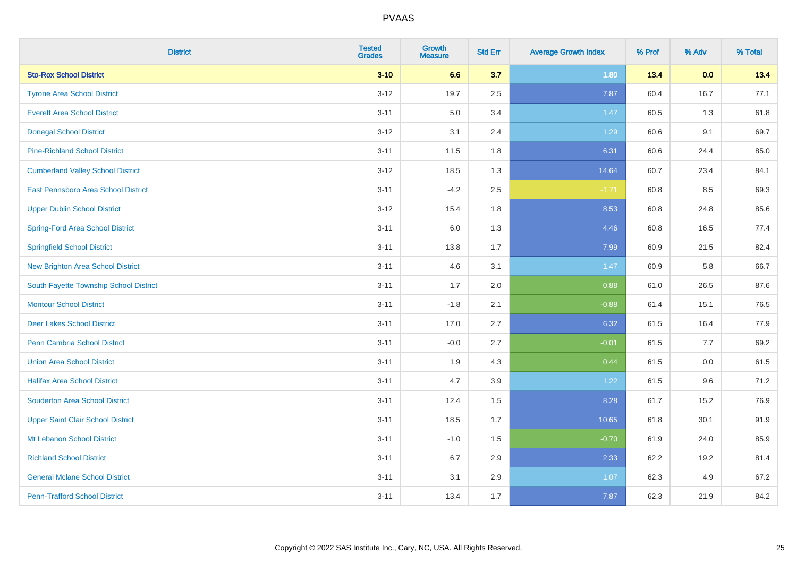| <b>District</b>                          | <b>Tested</b><br><b>Grades</b> | <b>Growth</b><br><b>Measure</b> | <b>Std Err</b> | <b>Average Growth Index</b> | % Prof | % Adv | % Total |
|------------------------------------------|--------------------------------|---------------------------------|----------------|-----------------------------|--------|-------|---------|
| <b>Sto-Rox School District</b>           | $3 - 10$                       | 6.6                             | 3.7            | 1.80                        | 13.4   | 0.0   | 13.4    |
| <b>Tyrone Area School District</b>       | $3 - 12$                       | 19.7                            | 2.5            | 7.87                        | 60.4   | 16.7  | 77.1    |
| <b>Everett Area School District</b>      | $3 - 11$                       | 5.0                             | 3.4            | 1.47                        | 60.5   | 1.3   | 61.8    |
| <b>Donegal School District</b>           | $3 - 12$                       | 3.1                             | 2.4            | 1.29                        | 60.6   | 9.1   | 69.7    |
| <b>Pine-Richland School District</b>     | $3 - 11$                       | 11.5                            | 1.8            | 6.31                        | 60.6   | 24.4  | 85.0    |
| <b>Cumberland Valley School District</b> | $3 - 12$                       | 18.5                            | 1.3            | 14.64                       | 60.7   | 23.4  | 84.1    |
| East Pennsboro Area School District      | $3 - 11$                       | $-4.2$                          | 2.5            | $-1.71$                     | 60.8   | 8.5   | 69.3    |
| <b>Upper Dublin School District</b>      | $3 - 12$                       | 15.4                            | 1.8            | 8.53                        | 60.8   | 24.8  | 85.6    |
| <b>Spring-Ford Area School District</b>  | $3 - 11$                       | 6.0                             | 1.3            | 4.46                        | 60.8   | 16.5  | 77.4    |
| <b>Springfield School District</b>       | $3 - 11$                       | 13.8                            | 1.7            | 7.99                        | 60.9   | 21.5  | 82.4    |
| New Brighton Area School District        | $3 - 11$                       | 4.6                             | 3.1            | 1.47                        | 60.9   | 5.8   | 66.7    |
| South Fayette Township School District   | $3 - 11$                       | 1.7                             | 2.0            | 0.88                        | 61.0   | 26.5  | 87.6    |
| <b>Montour School District</b>           | $3 - 11$                       | $-1.8$                          | 2.1            | $-0.88$                     | 61.4   | 15.1  | 76.5    |
| <b>Deer Lakes School District</b>        | $3 - 11$                       | 17.0                            | 2.7            | 6.32                        | 61.5   | 16.4  | 77.9    |
| <b>Penn Cambria School District</b>      | $3 - 11$                       | $-0.0$                          | 2.7            | $-0.01$                     | 61.5   | 7.7   | 69.2    |
| <b>Union Area School District</b>        | $3 - 11$                       | 1.9                             | 4.3            | 0.44                        | 61.5   | 0.0   | 61.5    |
| <b>Halifax Area School District</b>      | $3 - 11$                       | 4.7                             | 3.9            | 1.22                        | 61.5   | 9.6   | 71.2    |
| <b>Souderton Area School District</b>    | $3 - 11$                       | 12.4                            | 1.5            | 8.28                        | 61.7   | 15.2  | 76.9    |
| <b>Upper Saint Clair School District</b> | $3 - 11$                       | 18.5                            | 1.7            | 10.65                       | 61.8   | 30.1  | 91.9    |
| Mt Lebanon School District               | $3 - 11$                       | $-1.0$                          | 1.5            | $-0.70$                     | 61.9   | 24.0  | 85.9    |
| <b>Richland School District</b>          | $3 - 11$                       | 6.7                             | 2.9            | 2.33                        | 62.2   | 19.2  | 81.4    |
| <b>General Mclane School District</b>    | $3 - 11$                       | 3.1                             | 2.9            | 1.07                        | 62.3   | 4.9   | 67.2    |
| <b>Penn-Trafford School District</b>     | $3 - 11$                       | 13.4                            | 1.7            | 7.87                        | 62.3   | 21.9  | 84.2    |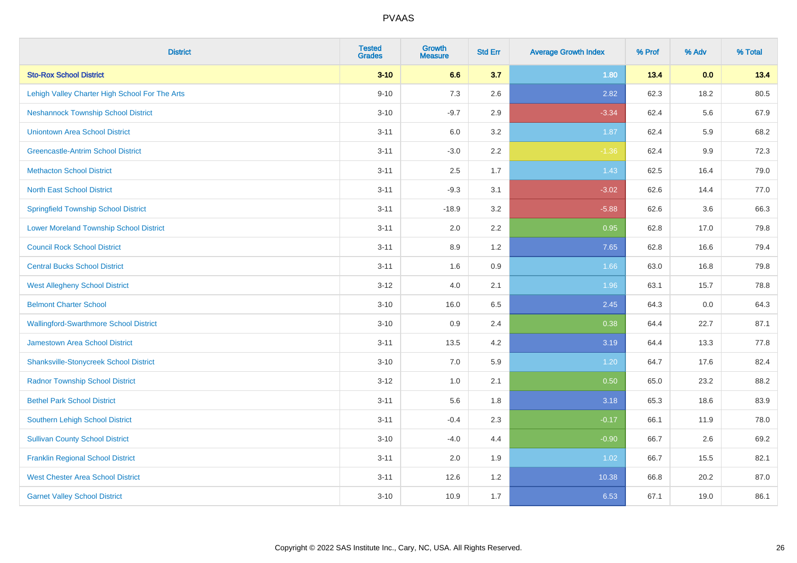| <b>District</b>                                | <b>Tested</b><br><b>Grades</b> | <b>Growth</b><br><b>Measure</b> | <b>Std Err</b> | <b>Average Growth Index</b> | % Prof | % Adv | % Total |
|------------------------------------------------|--------------------------------|---------------------------------|----------------|-----------------------------|--------|-------|---------|
| <b>Sto-Rox School District</b>                 | $3 - 10$                       | 6.6                             | 3.7            | 1.80                        | 13.4   | 0.0   | 13.4    |
| Lehigh Valley Charter High School For The Arts | $9 - 10$                       | 7.3                             | 2.6            | 2.82                        | 62.3   | 18.2  | 80.5    |
| <b>Neshannock Township School District</b>     | $3 - 10$                       | $-9.7$                          | 2.9            | $-3.34$                     | 62.4   | 5.6   | 67.9    |
| <b>Uniontown Area School District</b>          | $3 - 11$                       | 6.0                             | 3.2            | 1.87                        | 62.4   | 5.9   | 68.2    |
| <b>Greencastle-Antrim School District</b>      | $3 - 11$                       | $-3.0$                          | 2.2            | $-1.36$                     | 62.4   | 9.9   | 72.3    |
| <b>Methacton School District</b>               | $3 - 11$                       | 2.5                             | 1.7            | 1.43                        | 62.5   | 16.4  | 79.0    |
| <b>North East School District</b>              | $3 - 11$                       | $-9.3$                          | 3.1            | $-3.02$                     | 62.6   | 14.4  | 77.0    |
| <b>Springfield Township School District</b>    | $3 - 11$                       | $-18.9$                         | 3.2            | $-5.88$                     | 62.6   | 3.6   | 66.3    |
| <b>Lower Moreland Township School District</b> | $3 - 11$                       | 2.0                             | 2.2            | 0.95                        | 62.8   | 17.0  | 79.8    |
| <b>Council Rock School District</b>            | $3 - 11$                       | 8.9                             | 1.2            | 7.65                        | 62.8   | 16.6  | 79.4    |
| <b>Central Bucks School District</b>           | $3 - 11$                       | 1.6                             | 0.9            | 1.66                        | 63.0   | 16.8  | 79.8    |
| <b>West Allegheny School District</b>          | $3 - 12$                       | 4.0                             | 2.1            | 1.96                        | 63.1   | 15.7  | 78.8    |
| <b>Belmont Charter School</b>                  | $3 - 10$                       | 16.0                            | 6.5            | 2.45                        | 64.3   | 0.0   | 64.3    |
| <b>Wallingford-Swarthmore School District</b>  | $3 - 10$                       | 0.9                             | 2.4            | 0.38                        | 64.4   | 22.7  | 87.1    |
| <b>Jamestown Area School District</b>          | $3 - 11$                       | 13.5                            | 4.2            | 3.19                        | 64.4   | 13.3  | 77.8    |
| <b>Shanksville-Stonycreek School District</b>  | $3 - 10$                       | 7.0                             | 5.9            | 1.20                        | 64.7   | 17.6  | 82.4    |
| <b>Radnor Township School District</b>         | $3 - 12$                       | 1.0                             | 2.1            | 0.50                        | 65.0   | 23.2  | 88.2    |
| <b>Bethel Park School District</b>             | $3 - 11$                       | 5.6                             | 1.8            | 3.18                        | 65.3   | 18.6  | 83.9    |
| <b>Southern Lehigh School District</b>         | $3 - 11$                       | $-0.4$                          | 2.3            | $-0.17$                     | 66.1   | 11.9  | 78.0    |
| <b>Sullivan County School District</b>         | $3 - 10$                       | $-4.0$                          | 4.4            | $-0.90$                     | 66.7   | 2.6   | 69.2    |
| <b>Franklin Regional School District</b>       | $3 - 11$                       | 2.0                             | 1.9            | 1.02                        | 66.7   | 15.5  | 82.1    |
| <b>West Chester Area School District</b>       | $3 - 11$                       | 12.6                            | 1.2            | 10.38                       | 66.8   | 20.2  | 87.0    |
| <b>Garnet Valley School District</b>           | $3 - 10$                       | 10.9                            | 1.7            | 6.53                        | 67.1   | 19.0  | 86.1    |